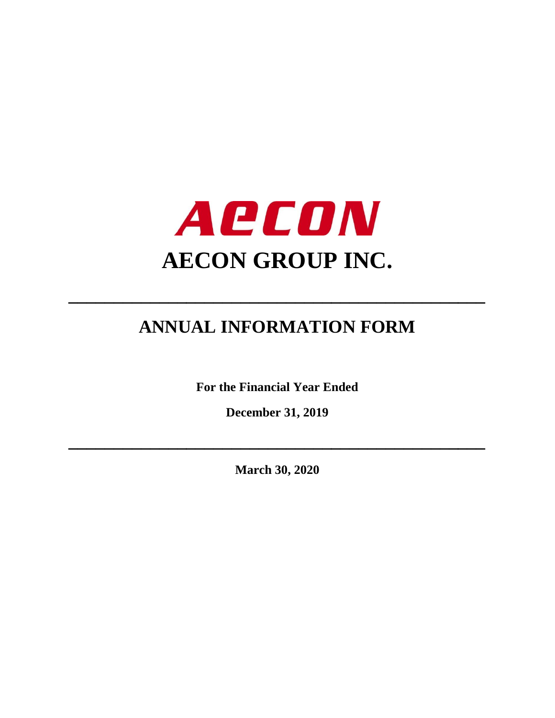

# **ANNUAL INFORMATION FORM**

**\_\_\_\_\_\_\_\_\_\_\_\_\_\_\_\_\_\_\_\_\_\_\_\_\_\_\_\_\_\_\_\_\_\_\_\_\_\_\_\_\_\_\_\_\_\_**

**For the Financial Year Ended**

**December 31, 2019**

**March 30, 2020**

**\_\_\_\_\_\_\_\_\_\_\_\_\_\_\_\_\_\_\_\_\_\_\_\_\_\_\_\_\_\_\_\_\_\_\_\_\_\_\_\_\_\_\_\_\_\_**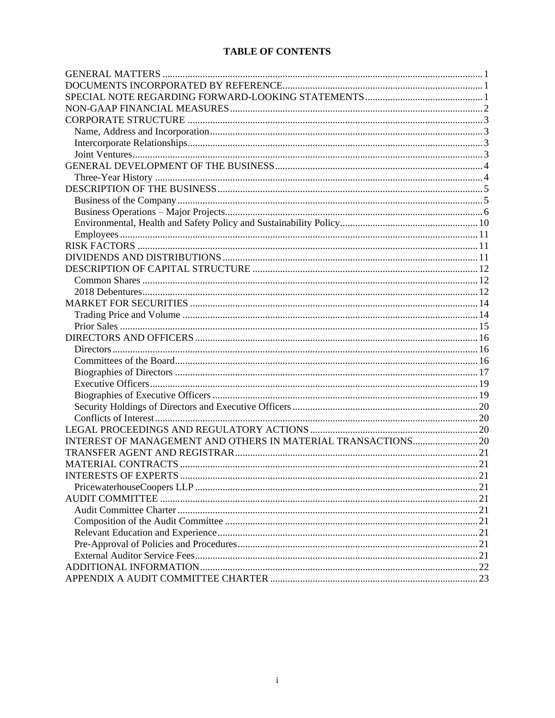# **TABLE OF CONTENTS**

| INTEREST OF MANAGEMENT AND OTHERS IN MATERIAL TRANSACTIONS 20 |  |
|---------------------------------------------------------------|--|
|                                                               |  |
|                                                               |  |
|                                                               |  |
|                                                               |  |
|                                                               |  |
|                                                               |  |
|                                                               |  |
|                                                               |  |
|                                                               |  |
|                                                               |  |
|                                                               |  |
|                                                               |  |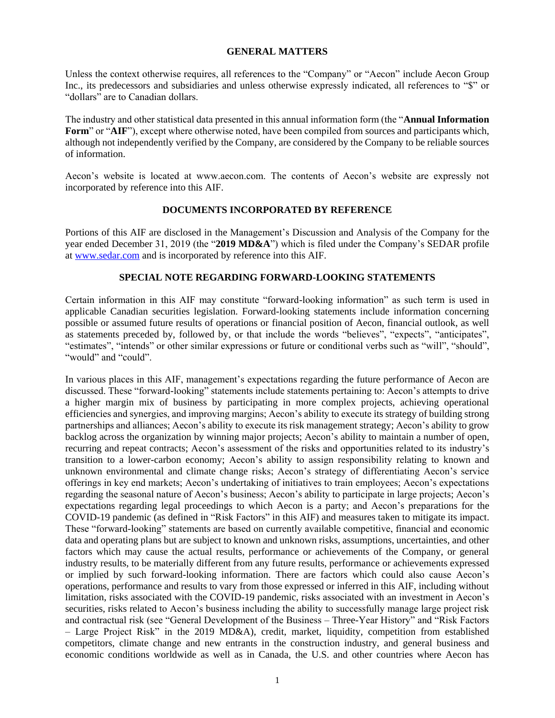## **GENERAL MATTERS**

<span id="page-2-0"></span>Unless the context otherwise requires, all references to the "Company" or "Aecon" include Aecon Group Inc., its predecessors and subsidiaries and unless otherwise expressly indicated, all references to "\$" or "dollars" are to Canadian dollars.

The industry and other statistical data presented in this annual information form (the "**Annual Information Form**" or "**AIF**"), except where otherwise noted, have been compiled from sources and participants which, although not independently verified by the Company, are considered by the Company to be reliable sources of information.

Aecon's website is located at www.aecon.com. The contents of Aecon's website are expressly not incorporated by reference into this AIF.

## **DOCUMENTS INCORPORATED BY REFERENCE**

<span id="page-2-1"></span>Portions of this AIF are disclosed in the Management's Discussion and Analysis of the Company for the year ended December 31, 2019 (the "**2019 MD&A**") which is filed under the Company's SEDAR profile at [www.sedar.com](http://www.sedar.com/) and is incorporated by reference into this AIF.

# **SPECIAL NOTE REGARDING FORWARD-LOOKING STATEMENTS**

<span id="page-2-2"></span>Certain information in this AIF may constitute "forward-looking information" as such term is used in applicable Canadian securities legislation. Forward-looking statements include information concerning possible or assumed future results of operations or financial position of Aecon, financial outlook, as well as statements preceded by, followed by, or that include the words "believes", "expects", "anticipates", "estimates", "intends" or other similar expressions or future or conditional verbs such as "will", "should", "would" and "could".

In various places in this AIF, management's expectations regarding the future performance of Aecon are discussed. These "forward-looking" statements include statements pertaining to: Aecon's attempts to drive a higher margin mix of business by participating in more complex projects, achieving operational efficiencies and synergies, and improving margins; Aecon's ability to execute its strategy of building strong partnerships and alliances; Aecon's ability to execute its risk management strategy; Aecon's ability to grow backlog across the organization by winning major projects; Aecon's ability to maintain a number of open, recurring and repeat contracts; Aecon's assessment of the risks and opportunities related to its industry's transition to a lower-carbon economy; Aecon's ability to assign responsibility relating to known and unknown environmental and climate change risks; Aecon's strategy of differentiating Aecon's service offerings in key end markets; Aecon's undertaking of initiatives to train employees; Aecon's expectations regarding the seasonal nature of Aecon's business; Aecon's ability to participate in large projects; Aecon's expectations regarding legal proceedings to which Aecon is a party; and Aecon's preparations for the COVID-19 pandemic (as defined in "Risk Factors" in this AIF) and measures taken to mitigate its impact. These "forward-looking" statements are based on currently available competitive, financial and economic data and operating plans but are subject to known and unknown risks, assumptions, uncertainties, and other factors which may cause the actual results, performance or achievements of the Company, or general industry results, to be materially different from any future results, performance or achievements expressed or implied by such forward-looking information. There are factors which could also cause Aecon's operations, performance and results to vary from those expressed or inferred in this AIF, including without limitation, risks associated with the COVID-19 pandemic, risks associated with an investment in Aecon's securities, risks related to Aecon's business including the ability to successfully manage large project risk and contractual risk (see "General Development of the Business – Three-Year History" and "Risk Factors – Large Project Risk" in the 2019 MD&A), credit, market, liquidity, competition from established competitors, climate change and new entrants in the construction industry, and general business and economic conditions worldwide as well as in Canada, the U.S. and other countries where Aecon has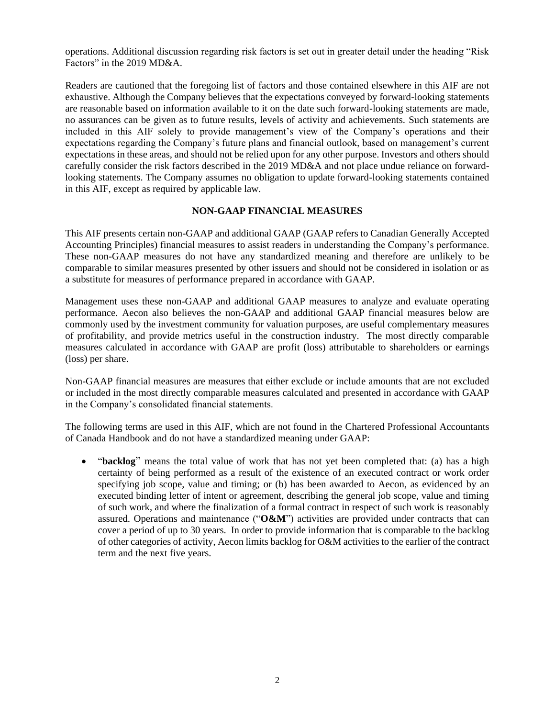operations. Additional discussion regarding risk factors is set out in greater detail under the heading "Risk Factors" in the 2019 MD&A.

Readers are cautioned that the foregoing list of factors and those contained elsewhere in this AIF are not exhaustive. Although the Company believes that the expectations conveyed by forward-looking statements are reasonable based on information available to it on the date such forward-looking statements are made, no assurances can be given as to future results, levels of activity and achievements. Such statements are included in this AIF solely to provide management's view of the Company's operations and their expectations regarding the Company's future plans and financial outlook, based on management's current expectations in these areas, and should not be relied upon for any other purpose. Investors and others should carefully consider the risk factors described in the 2019 MD&A and not place undue reliance on forwardlooking statements. The Company assumes no obligation to update forward-looking statements contained in this AIF, except as required by applicable law.

## **NON-GAAP FINANCIAL MEASURES**

<span id="page-3-0"></span>This AIF presents certain non-GAAP and additional GAAP (GAAP refers to Canadian Generally Accepted Accounting Principles) financial measures to assist readers in understanding the Company's performance. These non-GAAP measures do not have any standardized meaning and therefore are unlikely to be comparable to similar measures presented by other issuers and should not be considered in isolation or as a substitute for measures of performance prepared in accordance with GAAP.

Management uses these non-GAAP and additional GAAP measures to analyze and evaluate operating performance. Aecon also believes the non-GAAP and additional GAAP financial measures below are commonly used by the investment community for valuation purposes, are useful complementary measures of profitability, and provide metrics useful in the construction industry. The most directly comparable measures calculated in accordance with GAAP are profit (loss) attributable to shareholders or earnings (loss) per share.

Non-GAAP financial measures are measures that either exclude or include amounts that are not excluded or included in the most directly comparable measures calculated and presented in accordance with GAAP in the Company's consolidated financial statements.

The following terms are used in this AIF, which are not found in the Chartered Professional Accountants of Canada Handbook and do not have a standardized meaning under GAAP:

• "**backlog**" means the total value of work that has not yet been completed that: (a) has a high certainty of being performed as a result of the existence of an executed contract or work order specifying job scope, value and timing; or (b) has been awarded to Aecon, as evidenced by an executed binding letter of intent or agreement, describing the general job scope, value and timing of such work, and where the finalization of a formal contract in respect of such work is reasonably assured. Operations and maintenance ("**O&M**") activities are provided under contracts that can cover a period of up to 30 years. In order to provide information that is comparable to the backlog of other categories of activity, Aecon limits backlog for O&M activities to the earlier of the contract term and the next five years.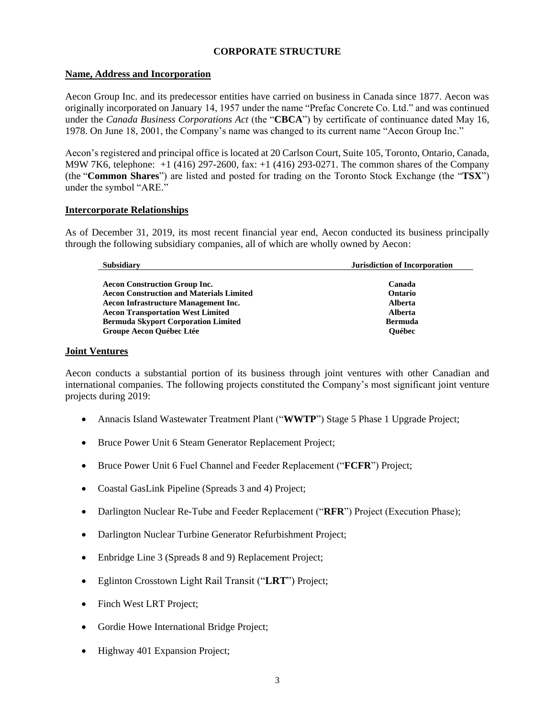# **CORPORATE STRUCTURE**

## <span id="page-4-1"></span><span id="page-4-0"></span>**Name, Address and Incorporation**

Aecon Group Inc. and its predecessor entities have carried on business in Canada since 1877. Aecon was originally incorporated on January 14, 1957 under the name "Prefac Concrete Co. Ltd." and was continued under the *Canada Business Corporations Act* (the "**CBCA**") by certificate of continuance dated May 16, 1978. On June 18, 2001, the Company's name was changed to its current name "Aecon Group Inc."

Aecon's registered and principal office is located at 20 Carlson Court, Suite 105, Toronto, Ontario, Canada, M9W 7K6, telephone: +1 (416) 297-2600, fax: +1 (416) 293-0271. The common shares of the Company (the "**Common Shares**") are listed and posted for trading on the Toronto Stock Exchange (the "**TSX**") under the symbol "ARE."

## <span id="page-4-2"></span>**Intercorporate Relationships**

As of December 31, 2019, its most recent financial year end, Aecon conducted its business principally through the following subsidiary companies, all of which are wholly owned by Aecon:

| Subsidiary                                      | <b>Jurisdiction of Incorporation</b> |  |
|-------------------------------------------------|--------------------------------------|--|
|                                                 |                                      |  |
| <b>Aecon Construction Group Inc.</b>            | Canada                               |  |
| <b>Aecon Construction and Materials Limited</b> | Ontario                              |  |
| <b>Aecon Infrastructure Management Inc.</b>     | Alberta                              |  |
| <b>Aecon Transportation West Limited</b>        | Alberta                              |  |
| <b>Bermuda Skyport Corporation Limited</b>      | <b>Bermuda</b>                       |  |
| Groupe Aecon Québec Ltée                        | <b>Ouébec</b>                        |  |

## <span id="page-4-3"></span>**Joint Ventures**

Aecon conducts a substantial portion of its business through joint ventures with other Canadian and international companies. The following projects constituted the Company's most significant joint venture projects during 2019:

- Annacis Island Wastewater Treatment Plant ("WWTP") Stage 5 Phase 1 Upgrade Project;
- Bruce Power Unit 6 Steam Generator Replacement Project;
- Bruce Power Unit 6 Fuel Channel and Feeder Replacement ("**FCFR**") Project;
- Coastal GasLink Pipeline (Spreads 3 and 4) Project;
- Darlington Nuclear Re-Tube and Feeder Replacement ("RFR") Project (Execution Phase);
- Darlington Nuclear Turbine Generator Refurbishment Project;
- Enbridge Line 3 (Spreads 8 and 9) Replacement Project;
- Eglinton Crosstown Light Rail Transit ("**LRT**") Project;
- Finch West LRT Project;
- Gordie Howe International Bridge Project;
- Highway 401 Expansion Project;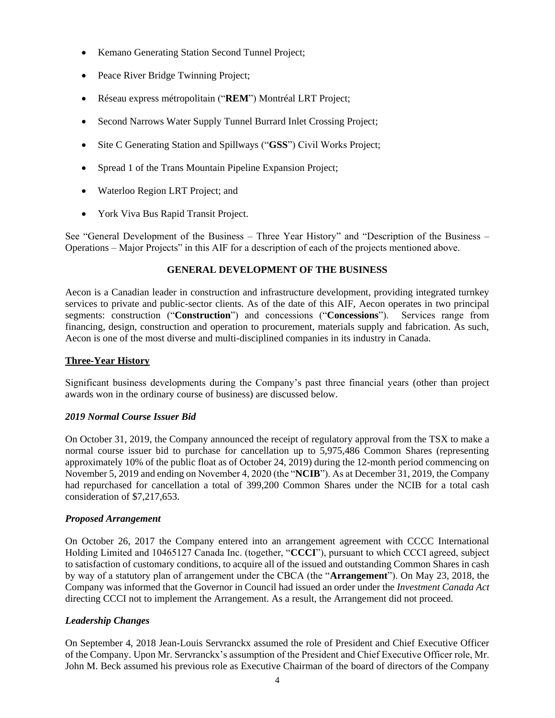- Kemano Generating Station Second Tunnel Project;
- Peace River Bridge Twinning Project;
- Réseau express métropolitain ("**REM**") Montréal LRT Project;
- Second Narrows Water Supply Tunnel Burrard Inlet Crossing Project;
- Site C Generating Station and Spillways ("**GSS**") Civil Works Project;
- Spread 1 of the Trans Mountain Pipeline Expansion Project;
- Waterloo Region LRT Project; and
- York Viva Bus Rapid Transit Project.

See "General Development of the Business – Three Year History" and "Description of the Business – Operations – Major Projects" in this AIF for a description of each of the projects mentioned above.

# **GENERAL DEVELOPMENT OF THE BUSINESS**

<span id="page-5-0"></span>Aecon is a Canadian leader in construction and infrastructure development, providing integrated turnkey services to private and public-sector clients. As of the date of this AIF, Aecon operates in two principal segments: construction ("**Construction**") and concessions ("**Concessions**"). Services range from financing, design, construction and operation to procurement, materials supply and fabrication. As such, Aecon is one of the most diverse and multi-disciplined companies in its industry in Canada.

# <span id="page-5-1"></span>**Three-Year History**

Significant business developments during the Company's past three financial years (other than project awards won in the ordinary course of business) are discussed below.

# *2019 Normal Course Issuer Bid*

On October 31, 2019, the Company announced the receipt of regulatory approval from the TSX to make a normal course issuer bid to purchase for cancellation up to 5,975,486 Common Shares (representing approximately 10% of the public float as of October 24, 2019) during the 12-month period commencing on November 5, 2019 and ending on November 4, 2020 (the "**NCIB**"). As at December 31, 2019, the Company had repurchased for cancellation a total of 399,200 Common Shares under the NCIB for a total cash consideration of \$7,217,653.

# *Proposed Arrangement*

On October 26, 2017 the Company entered into an arrangement agreement with CCCC International Holding Limited and 10465127 Canada Inc. (together, "**CCCI**"), pursuant to which CCCI agreed, subject to satisfaction of customary conditions, to acquire all of the issued and outstanding Common Shares in cash by way of a statutory plan of arrangement under the CBCA (the "**Arrangement**"). On May 23, 2018, the Company was informed that the Governor in Council had issued an order under the *Investment Canada Act* directing CCCI not to implement the Arrangement. As a result, the Arrangement did not proceed.

# *Leadership Changes*

On September 4, 2018 Jean-Louis Servranckx assumed the role of President and Chief Executive Officer of the Company. Upon Mr. Servranckx's assumption of the President and Chief Executive Officer role, Mr. John M. Beck assumed his previous role as Executive Chairman of the board of directors of the Company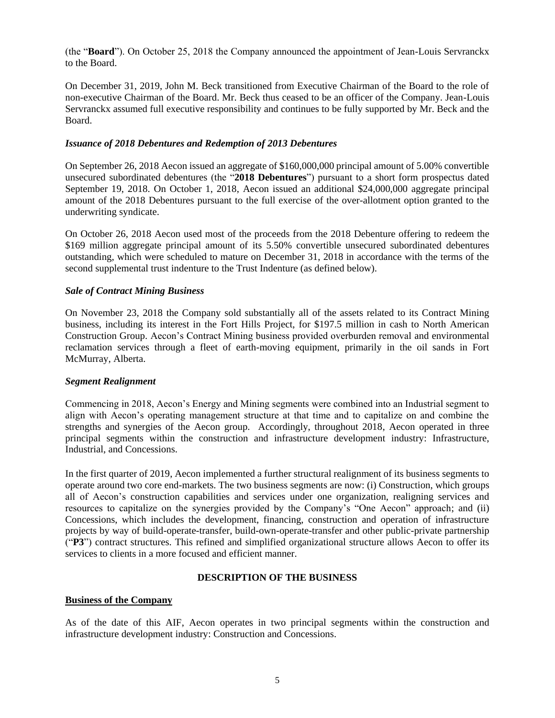(the "**Board**"). On October 25, 2018 the Company announced the appointment of Jean-Louis Servranckx to the Board.

On December 31, 2019, John M. Beck transitioned from Executive Chairman of the Board to the role of non-executive Chairman of the Board. Mr. Beck thus ceased to be an officer of the Company. Jean-Louis Servranckx assumed full executive responsibility and continues to be fully supported by Mr. Beck and the Board.

## *Issuance of 2018 Debentures and Redemption of 2013 Debentures*

On September 26, 2018 Aecon issued an aggregate of \$160,000,000 principal amount of 5.00% convertible unsecured subordinated debentures (the "**2018 Debentures**") pursuant to a short form prospectus dated September 19, 2018. On October 1, 2018, Aecon issued an additional \$24,000,000 aggregate principal amount of the 2018 Debentures pursuant to the full exercise of the over-allotment option granted to the underwriting syndicate.

On October 26, 2018 Aecon used most of the proceeds from the 2018 Debenture offering to redeem the \$169 million aggregate principal amount of its 5.50% convertible unsecured subordinated debentures outstanding, which were scheduled to mature on December 31, 2018 in accordance with the terms of the second supplemental trust indenture to the Trust Indenture (as defined below).

# *Sale of Contract Mining Business*

On November 23, 2018 the Company sold substantially all of the assets related to its Contract Mining business, including its interest in the Fort Hills Project, for \$197.5 million in cash to North American Construction Group. Aecon's Contract Mining business provided overburden removal and environmental reclamation services through a fleet of earth-moving equipment, primarily in the oil sands in Fort McMurray, Alberta.

## *Segment Realignment*

Commencing in 2018, Aecon's Energy and Mining segments were combined into an Industrial segment to align with Aecon's operating management structure at that time and to capitalize on and combine the strengths and synergies of the Aecon group. Accordingly, throughout 2018, Aecon operated in three principal segments within the construction and infrastructure development industry: Infrastructure, Industrial, and Concessions.

In the first quarter of 2019, Aecon implemented a further structural realignment of its business segments to operate around two core end-markets. The two business segments are now: (i) Construction, which groups all of Aecon's construction capabilities and services under one organization, realigning services and resources to capitalize on the synergies provided by the Company's "One Aecon" approach; and (ii) Concessions, which includes the development, financing, construction and operation of infrastructure projects by way of build-operate-transfer, build-own-operate-transfer and other public-private partnership ("**P3**") contract structures. This refined and simplified organizational structure allows Aecon to offer its services to clients in a more focused and efficient manner.

# **DESCRIPTION OF THE BUSINESS**

## <span id="page-6-1"></span><span id="page-6-0"></span>**Business of the Company**

As of the date of this AIF, Aecon operates in two principal segments within the construction and infrastructure development industry: Construction and Concessions.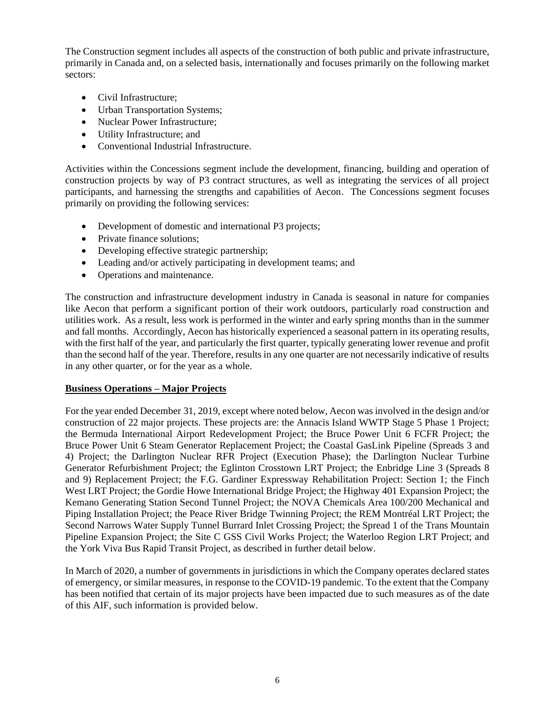The Construction segment includes all aspects of the construction of both public and private infrastructure, primarily in Canada and, on a selected basis, internationally and focuses primarily on the following market sectors:

- Civil Infrastructure;
- Urban Transportation Systems;
- Nuclear Power Infrastructure:
- Utility Infrastructure; and
- Conventional Industrial Infrastructure.

Activities within the Concessions segment include the development, financing, building and operation of construction projects by way of P3 contract structures, as well as integrating the services of all project participants, and harnessing the strengths and capabilities of Aecon. The Concessions segment focuses primarily on providing the following services:

- Development of domestic and international P3 projects;
- Private finance solutions;
- Developing effective strategic partnership;
- Leading and/or actively participating in development teams; and
- Operations and maintenance.

The construction and infrastructure development industry in Canada is seasonal in nature for companies like Aecon that perform a significant portion of their work outdoors, particularly road construction and utilities work. As a result, less work is performed in the winter and early spring months than in the summer and fall months. Accordingly, Aecon has historically experienced a seasonal pattern in its operating results, with the first half of the year, and particularly the first quarter, typically generating lower revenue and profit than the second half of the year. Therefore, results in any one quarter are not necessarily indicative of results in any other quarter, or for the year as a whole.

# <span id="page-7-0"></span>**Business Operations – Major Projects**

For the year ended December 31, 2019, except where noted below, Aecon was involved in the design and/or construction of 22 major projects. These projects are: the Annacis Island WWTP Stage 5 Phase 1 Project; the Bermuda International Airport Redevelopment Project; the Bruce Power Unit 6 FCFR Project; the Bruce Power Unit 6 Steam Generator Replacement Project; the Coastal GasLink Pipeline (Spreads 3 and 4) Project; the Darlington Nuclear RFR Project (Execution Phase); the Darlington Nuclear Turbine Generator Refurbishment Project; the Eglinton Crosstown LRT Project; the Enbridge Line 3 (Spreads 8 and 9) Replacement Project; the F.G. Gardiner Expressway Rehabilitation Project: Section 1; the Finch West LRT Project; the Gordie Howe International Bridge Project; the Highway 401 Expansion Project; the Kemano Generating Station Second Tunnel Project; the NOVA Chemicals Area 100/200 Mechanical and Piping Installation Project; the Peace River Bridge Twinning Project; the REM Montréal LRT Project; the Second Narrows Water Supply Tunnel Burrard Inlet Crossing Project; the Spread 1 of the Trans Mountain Pipeline Expansion Project; the Site C GSS Civil Works Project; the Waterloo Region LRT Project; and the York Viva Bus Rapid Transit Project, as described in further detail below.

In March of 2020, a number of governments in jurisdictions in which the Company operates declared states of emergency, or similar measures, in response to the COVID-19 pandemic. To the extent that the Company has been notified that certain of its major projects have been impacted due to such measures as of the date of this AIF, such information is provided below.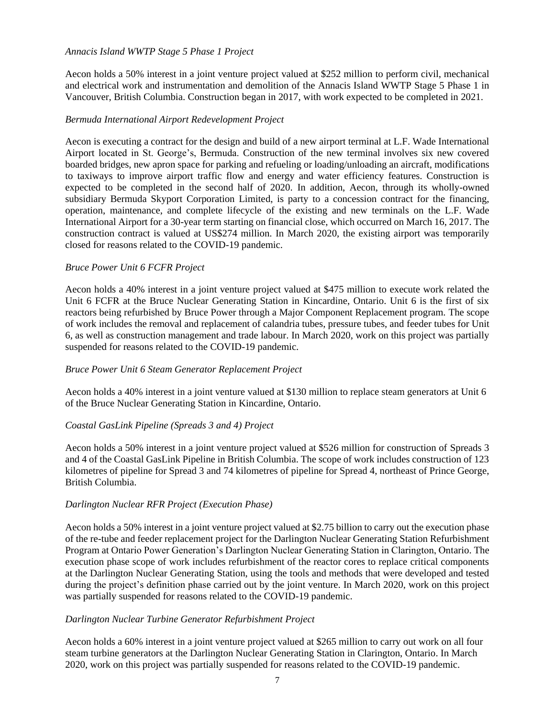## *Annacis Island WWTP Stage 5 Phase 1 Project*

Aecon holds a 50% interest in a joint venture project valued at \$252 million to perform civil, mechanical and electrical work and instrumentation and demolition of the Annacis Island WWTP Stage 5 Phase 1 in Vancouver, British Columbia. Construction began in 2017, with work expected to be completed in 2021.

## *Bermuda International Airport Redevelopment Project*

Aecon is executing a contract for the design and build of a new airport terminal at L.F. Wade International Airport located in St. George's, Bermuda. Construction of the new terminal involves six new covered boarded bridges, new apron space for parking and refueling or loading/unloading an aircraft, modifications to taxiways to improve airport traffic flow and energy and water efficiency features. Construction is expected to be completed in the second half of 2020. In addition, Aecon, through its wholly-owned subsidiary Bermuda Skyport Corporation Limited, is party to a concession contract for the financing, operation, maintenance, and complete lifecycle of the existing and new terminals on the L.F. Wade International Airport for a 30-year term starting on financial close, which occurred on March 16, 2017. The construction contract is valued at US\$274 million. In March 2020, the existing airport was temporarily closed for reasons related to the COVID-19 pandemic.

# *Bruce Power Unit 6 FCFR Project*

Aecon holds a 40% interest in a joint venture project valued at \$475 million to execute work related the Unit 6 FCFR at the Bruce Nuclear Generating Station in Kincardine, Ontario. Unit 6 is the first of six reactors being refurbished by Bruce Power through a Major Component Replacement program. The scope of work includes the removal and replacement of calandria tubes, pressure tubes, and feeder tubes for Unit 6, as well as construction management and trade labour. In March 2020, work on this project was partially suspended for reasons related to the COVID-19 pandemic.

# *Bruce Power Unit 6 Steam Generator Replacement Project*

Aecon holds a 40% interest in a joint venture valued at \$130 million to replace steam generators at Unit 6 of the Bruce Nuclear Generating Station in Kincardine, Ontario.

## *Coastal GasLink Pipeline (Spreads 3 and 4) Project*

Aecon holds a 50% interest in a joint venture project valued at \$526 million for construction of Spreads 3 and 4 of the Coastal GasLink Pipeline in British Columbia. The scope of work includes construction of 123 kilometres of pipeline for Spread 3 and 74 kilometres of pipeline for Spread 4, northeast of Prince George, British Columbia.

## *Darlington Nuclear RFR Project (Execution Phase)*

Aecon holds a 50% interest in a joint venture project valued at \$2.75 billion to carry out the execution phase of the re-tube and feeder replacement project for the Darlington Nuclear Generating Station Refurbishment Program at Ontario Power Generation's Darlington Nuclear Generating Station in Clarington, Ontario. The execution phase scope of work includes refurbishment of the reactor cores to replace critical components at the Darlington Nuclear Generating Station, using the tools and methods that were developed and tested during the project's definition phase carried out by the joint venture. In March 2020, work on this project was partially suspended for reasons related to the COVID-19 pandemic.

## *Darlington Nuclear Turbine Generator Refurbishment Project*

Aecon holds a 60% interest in a joint venture project valued at \$265 million to carry out work on all four steam turbine generators at the Darlington Nuclear Generating Station in Clarington, Ontario. In March 2020, work on this project was partially suspended for reasons related to the COVID-19 pandemic.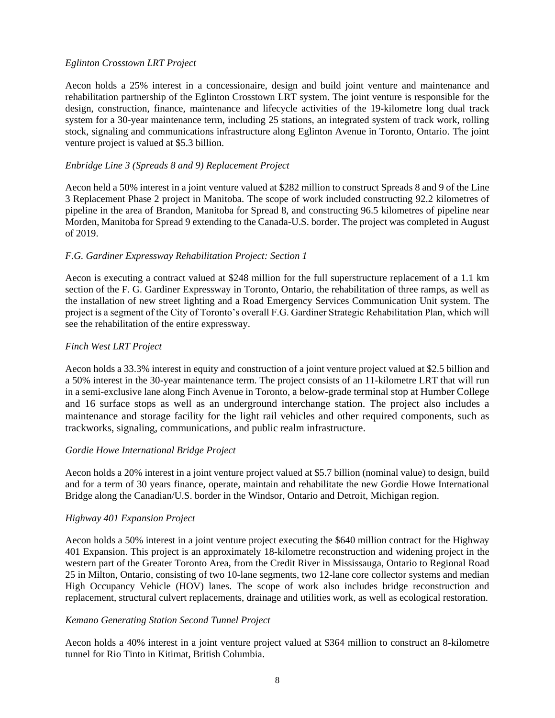# *Eglinton Crosstown LRT Project*

Aecon holds a 25% interest in a concessionaire, design and build joint venture and maintenance and rehabilitation partnership of the Eglinton Crosstown LRT system. The joint venture is responsible for the design, construction, finance, maintenance and lifecycle activities of the 19-kilometre long dual track system for a 30-year maintenance term, including 25 stations, an integrated system of track work, rolling stock, signaling and communications infrastructure along Eglinton Avenue in Toronto, Ontario. The joint venture project is valued at \$5.3 billion.

# *Enbridge Line 3 (Spreads 8 and 9) Replacement Project*

Aecon held a 50% interest in a joint venture valued at \$282 million to construct Spreads 8 and 9 of the Line 3 Replacement Phase 2 project in Manitoba. The scope of work included constructing 92.2 kilometres of pipeline in the area of Brandon, Manitoba for Spread 8, and constructing 96.5 kilometres of pipeline near Morden, Manitoba for Spread 9 extending to the Canada-U.S. border. The project was completed in August of 2019.

## *F.G. Gardiner Expressway Rehabilitation Project: Section 1*

Aecon is executing a contract valued at \$248 million for the full superstructure replacement of a 1.1 km section of the F. G. Gardiner Expressway in Toronto, Ontario, the rehabilitation of three ramps, as well as the installation of new street lighting and a Road Emergency Services Communication Unit system. The project is a segment of the City of Toronto's overall F.G. Gardiner Strategic Rehabilitation Plan, which will see the rehabilitation of the entire expressway.

## *Finch West LRT Project*

Aecon holds a 33.3% interest in equity and construction of a joint venture project valued at \$2.5 billion and a 50% interest in the 30-year maintenance term. The project consists of an 11-kilometre LRT that will run in a semi-exclusive lane along Finch Avenue in Toronto, a below-grade terminal stop at Humber College and 16 surface stops as well as an underground interchange station. The project also includes a maintenance and storage facility for the light rail vehicles and other required components, such as trackworks, signaling, communications, and public realm infrastructure.

## *Gordie Howe International Bridge Project*

Aecon holds a 20% interest in a joint venture project valued at \$5.7 billion (nominal value) to design, build and for a term of 30 years finance, operate, maintain and rehabilitate the new Gordie Howe International Bridge along the Canadian/U.S. border in the Windsor, Ontario and Detroit, Michigan region.

# *Highway 401 Expansion Project*

Aecon holds a 50% interest in a joint venture project executing the \$640 million contract for the Highway 401 Expansion. This project is an approximately 18-kilometre reconstruction and widening project in the western part of the Greater Toronto Area, from the Credit River in Mississauga, Ontario to Regional Road 25 in Milton, Ontario, consisting of two 10-lane segments, two 12-lane core collector systems and median High Occupancy Vehicle (HOV) lanes. The scope of work also includes bridge reconstruction and replacement, structural culvert replacements, drainage and utilities work, as well as ecological restoration.

## *Kemano Generating Station Second Tunnel Project*

Aecon holds a 40% interest in a joint venture project valued at \$364 million to construct an 8-kilometre tunnel for Rio Tinto in Kitimat, British Columbia.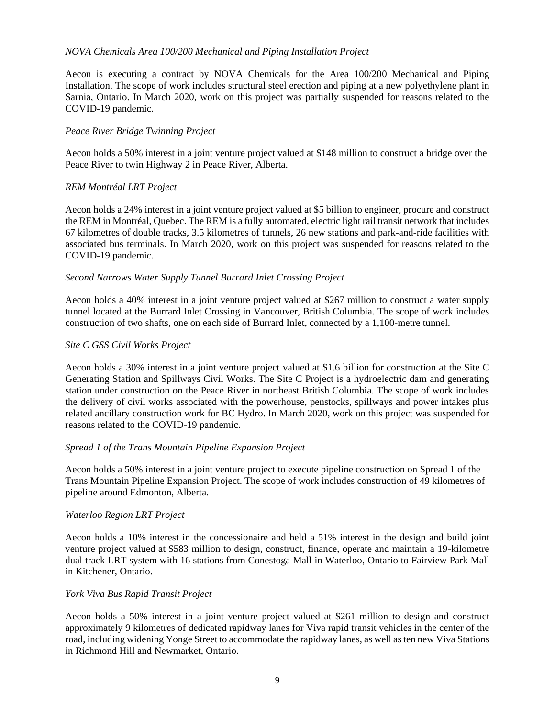## *NOVA Chemicals Area 100/200 Mechanical and Piping Installation Project*

Aecon is executing a contract by NOVA Chemicals for the Area 100/200 Mechanical and Piping Installation. The scope of work includes structural steel erection and piping at a new polyethylene plant in Sarnia, Ontario. In March 2020, work on this project was partially suspended for reasons related to the COVID-19 pandemic.

## *Peace River Bridge Twinning Project*

Aecon holds a 50% interest in a joint venture project valued at \$148 million to construct a bridge over the Peace River to twin Highway 2 in Peace River, Alberta.

## *REM Montréal LRT Project*

Aecon holds a 24% interest in a joint venture project valued at \$5 billion to engineer, procure and construct the REM in Montréal, Quebec. The REM is a fully automated, electric light rail transit network that includes 67 kilometres of double tracks, 3.5 kilometres of tunnels, 26 new stations and park-and-ride facilities with associated bus terminals. In March 2020, work on this project was suspended for reasons related to the COVID-19 pandemic.

## *Second Narrows Water Supply Tunnel Burrard Inlet Crossing Project*

Aecon holds a 40% interest in a joint venture project valued at \$267 million to construct a water supply tunnel located at the Burrard Inlet Crossing in Vancouver, British Columbia. The scope of work includes construction of two shafts, one on each side of Burrard Inlet, connected by a 1,100-metre tunnel.

## *Site C GSS Civil Works Project*

Aecon holds a 30% interest in a joint venture project valued at \$1.6 billion for construction at the Site C Generating Station and Spillways Civil Works. The Site C Project is a hydroelectric dam and generating station under construction on the Peace River in northeast British Columbia. The scope of work includes the delivery of civil works associated with the powerhouse, penstocks, spillways and power intakes plus related ancillary construction work for BC Hydro. In March 2020, work on this project was suspended for reasons related to the COVID-19 pandemic.

## *Spread 1 of the Trans Mountain Pipeline Expansion Project*

Aecon holds a 50% interest in a joint venture project to execute pipeline construction on Spread 1 of the Trans Mountain Pipeline Expansion Project. The scope of work includes construction of 49 kilometres of pipeline around Edmonton, Alberta.

## *Waterloo Region LRT Project*

Aecon holds a 10% interest in the concessionaire and held a 51% interest in the design and build joint venture project valued at \$583 million to design, construct, finance, operate and maintain a 19-kilometre dual track LRT system with 16 stations from Conestoga Mall in Waterloo, Ontario to Fairview Park Mall in Kitchener, Ontario.

## *York Viva Bus Rapid Transit Project*

Aecon holds a 50% interest in a joint venture project valued at \$261 million to design and construct approximately 9 kilometres of dedicated rapidway lanes for Viva rapid transit vehicles in the center of the road, including widening Yonge Street to accommodate the rapidway lanes, as well as ten new Viva Stations in Richmond Hill and Newmarket, Ontario.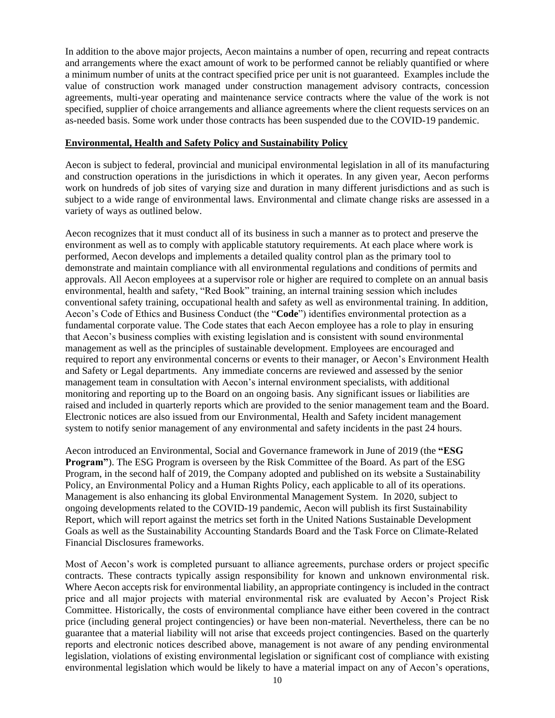In addition to the above major projects, Aecon maintains a number of open, recurring and repeat contracts and arrangements where the exact amount of work to be performed cannot be reliably quantified or where a minimum number of units at the contract specified price per unit is not guaranteed. Examples include the value of construction work managed under construction management advisory contracts, concession agreements, multi-year operating and maintenance service contracts where the value of the work is not specified, supplier of choice arrangements and alliance agreements where the client requests services on an as-needed basis. Some work under those contracts has been suspended due to the COVID-19 pandemic.

## <span id="page-11-0"></span>**Environmental, Health and Safety Policy and Sustainability Policy**

Aecon is subject to federal, provincial and municipal environmental legislation in all of its manufacturing and construction operations in the jurisdictions in which it operates. In any given year, Aecon performs work on hundreds of job sites of varying size and duration in many different jurisdictions and as such is subject to a wide range of environmental laws. Environmental and climate change risks are assessed in a variety of ways as outlined below.

Aecon recognizes that it must conduct all of its business in such a manner as to protect and preserve the environment as well as to comply with applicable statutory requirements. At each place where work is performed, Aecon develops and implements a detailed quality control plan as the primary tool to demonstrate and maintain compliance with all environmental regulations and conditions of permits and approvals. All Aecon employees at a supervisor role or higher are required to complete on an annual basis environmental, health and safety, "Red Book" training, an internal training session which includes conventional safety training, occupational health and safety as well as environmental training. In addition, Aecon's Code of Ethics and Business Conduct (the "**Code**") identifies environmental protection as a fundamental corporate value. The Code states that each Aecon employee has a role to play in ensuring that Aecon's business complies with existing legislation and is consistent with sound environmental management as well as the principles of sustainable development. Employees are encouraged and required to report any environmental concerns or events to their manager, or Aecon's Environment Health and Safety or Legal departments. Any immediate concerns are reviewed and assessed by the senior management team in consultation with Aecon's internal environment specialists, with additional monitoring and reporting up to the Board on an ongoing basis. Any significant issues or liabilities are raised and included in quarterly reports which are provided to the senior management team and the Board. Electronic notices are also issued from our Environmental, Health and Safety incident management system to notify senior management of any environmental and safety incidents in the past 24 hours.

Aecon introduced an Environmental, Social and Governance framework in June of 2019 (the **"ESG Program"**). The ESG Program is overseen by the Risk Committee of the Board. As part of the ESG Program, in the second half of 2019, the Company adopted and published on its website a Sustainability Policy, an Environmental Policy and a Human Rights Policy, each applicable to all of its operations. Management is also enhancing its global Environmental Management System. In 2020, subject to ongoing developments related to the COVID-19 pandemic, Aecon will publish its first Sustainability Report, which will report against the metrics set forth in the United Nations Sustainable Development Goals as well as the Sustainability Accounting Standards Board and the Task Force on Climate-Related Financial Disclosures frameworks.

Most of Aecon's work is completed pursuant to alliance agreements, purchase orders or project specific contracts. These contracts typically assign responsibility for known and unknown environmental risk. Where Aecon accepts risk for environmental liability, an appropriate contingency is included in the contract price and all major projects with material environmental risk are evaluated by Aecon's Project Risk Committee. Historically, the costs of environmental compliance have either been covered in the contract price (including general project contingencies) or have been non-material. Nevertheless, there can be no guarantee that a material liability will not arise that exceeds project contingencies. Based on the quarterly reports and electronic notices described above, management is not aware of any pending environmental legislation, violations of existing environmental legislation or significant cost of compliance with existing environmental legislation which would be likely to have a material impact on any of Aecon's operations,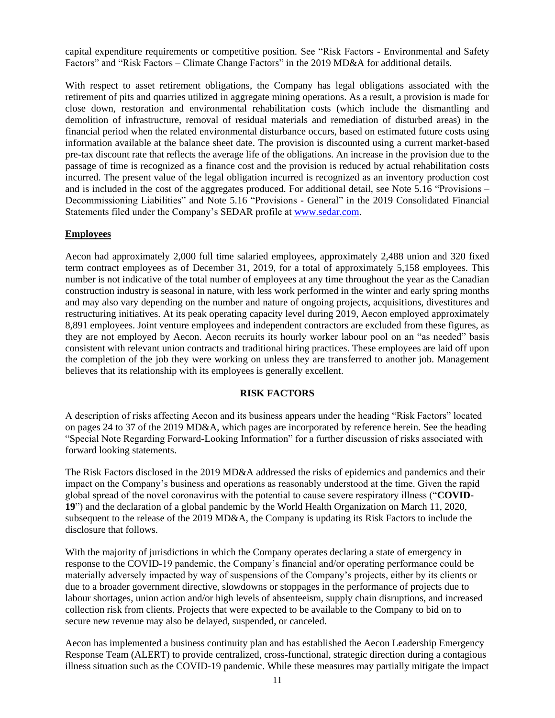capital expenditure requirements or competitive position. See "Risk Factors - Environmental and Safety Factors" and "Risk Factors – Climate Change Factors" in the 2019 MD&A for additional details.

With respect to asset retirement obligations, the Company has legal obligations associated with the retirement of pits and quarries utilized in aggregate mining operations. As a result, a provision is made for close down, restoration and environmental rehabilitation costs (which include the dismantling and demolition of infrastructure, removal of residual materials and remediation of disturbed areas) in the financial period when the related environmental disturbance occurs, based on estimated future costs using information available at the balance sheet date. The provision is discounted using a current market-based pre-tax discount rate that reflects the average life of the obligations. An increase in the provision due to the passage of time is recognized as a finance cost and the provision is reduced by actual rehabilitation costs incurred. The present value of the legal obligation incurred is recognized as an inventory production cost and is included in the cost of the aggregates produced. For additional detail, see Note 5.16 "Provisions – Decommissioning Liabilities" and Note 5.16 "Provisions - General" in the 2019 Consolidated Financial Statements filed under the Company's SEDAR profile at [www.sedar.com.](http://www.sedar.com/)

# <span id="page-12-0"></span>**Employees**

Aecon had approximately 2,000 full time salaried employees, approximately 2,488 union and 320 fixed term contract employees as of December 31, 2019, for a total of approximately 5,158 employees. This number is not indicative of the total number of employees at any time throughout the year as the Canadian construction industry is seasonal in nature, with less work performed in the winter and early spring months and may also vary depending on the number and nature of ongoing projects, acquisitions, divestitures and restructuring initiatives. At its peak operating capacity level during 2019, Aecon employed approximately 8,891 employees. Joint venture employees and independent contractors are excluded from these figures, as they are not employed by Aecon. Aecon recruits its hourly worker labour pool on an "as needed" basis consistent with relevant union contracts and traditional hiring practices. These employees are laid off upon the completion of the job they were working on unless they are transferred to another job. Management believes that its relationship with its employees is generally excellent.

## **RISK FACTORS**

<span id="page-12-2"></span><span id="page-12-1"></span>A description of risks affecting Aecon and its business appears under the heading "Risk Factors" located on pages 24 to 37 of the 2019 MD&A, which pages are incorporated by reference herein. See the heading "Special Note Regarding Forward-Looking Information" for a further discussion of risks associated with forward looking statements.

The Risk Factors disclosed in the 2019 MD&A addressed the risks of epidemics and pandemics and their impact on the Company's business and operations as reasonably understood at the time. Given the rapid global spread of the novel coronavirus with the potential to cause severe respiratory illness ("**COVID-19**") and the declaration of a global pandemic by the World Health Organization on March 11, 2020, subsequent to the release of the 2019 MD&A, the Company is updating its Risk Factors to include the disclosure that follows.

With the majority of jurisdictions in which the Company operates declaring a state of emergency in response to the COVID-19 pandemic, the Company's financial and/or operating performance could be materially adversely impacted by way of suspensions of the Company's projects, either by its clients or due to a broader government directive, slowdowns or stoppages in the performance of projects due to labour shortages, union action and/or high levels of absenteeism, supply chain disruptions, and increased collection risk from clients. Projects that were expected to be available to the Company to bid on to secure new revenue may also be delayed, suspended, or canceled.

Aecon has implemented a business continuity plan and has established the Aecon Leadership Emergency Response Team (ALERT) to provide centralized, cross-functional, strategic direction during a contagious illness situation such as the COVID-19 pandemic. While these measures may partially mitigate the impact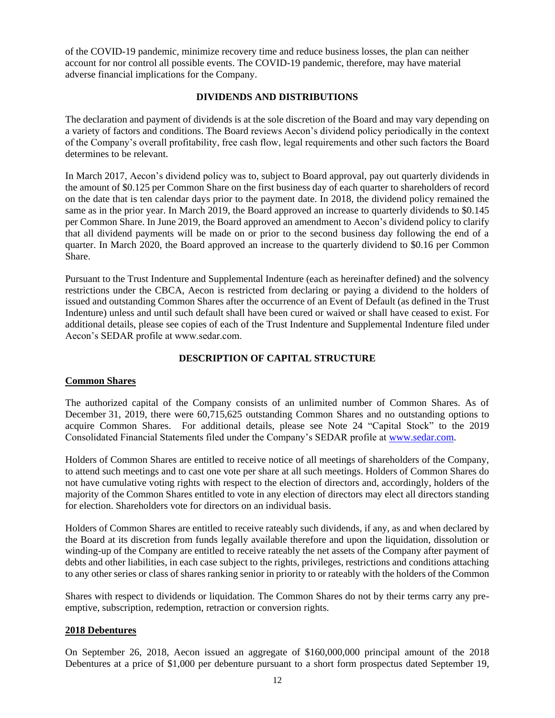of the COVID-19 pandemic, minimize recovery time and reduce business losses, the plan can neither account for nor control all possible events. The COVID-19 pandemic, therefore, may have material adverse financial implications for the Company.

## **DIVIDENDS AND DISTRIBUTIONS**

The declaration and payment of dividends is at the sole discretion of the Board and may vary depending on a variety of factors and conditions. The Board reviews Aecon's dividend policy periodically in the context of the Company's overall profitability, free cash flow, legal requirements and other such factors the Board determines to be relevant.

In March 2017, Aecon's dividend policy was to, subject to Board approval, pay out quarterly dividends in the amount of \$0.125 per Common Share on the first business day of each quarter to shareholders of record on the date that is ten calendar days prior to the payment date. In 2018, the dividend policy remained the same as in the prior year. In March 2019, the Board approved an increase to quarterly dividends to \$0.145 per Common Share. In June 2019, the Board approved an amendment to Aecon's dividend policy to clarify that all dividend payments will be made on or prior to the second business day following the end of a quarter. In March 2020, the Board approved an increase to the quarterly dividend to \$0.16 per Common Share.

Pursuant to the Trust Indenture and Supplemental Indenture (each as hereinafter defined) and the solvency restrictions under the CBCA, Aecon is restricted from declaring or paying a dividend to the holders of issued and outstanding Common Shares after the occurrence of an Event of Default (as defined in the Trust Indenture) unless and until such default shall have been cured or waived or shall have ceased to exist. For additional details, please see copies of each of the Trust Indenture and Supplemental Indenture filed under Aecon's SEDAR profile at www.sedar.com.

# **DESCRIPTION OF CAPITAL STRUCTURE**

# <span id="page-13-1"></span><span id="page-13-0"></span>**Common Shares**

The authorized capital of the Company consists of an unlimited number of Common Shares. As of December 31, 2019, there were 60,715,625 outstanding Common Shares and no outstanding options to acquire Common Shares. For additional details, please see Note 24 "Capital Stock" to the 2019 Consolidated Financial Statements filed under the Company's SEDAR profile at [www.sedar.com.](http://www.sedar.com/)

Holders of Common Shares are entitled to receive notice of all meetings of shareholders of the Company, to attend such meetings and to cast one vote per share at all such meetings. Holders of Common Shares do not have cumulative voting rights with respect to the election of directors and, accordingly, holders of the majority of the Common Shares entitled to vote in any election of directors may elect all directors standing for election. Shareholders vote for directors on an individual basis.

Holders of Common Shares are entitled to receive rateably such dividends, if any, as and when declared by the Board at its discretion from funds legally available therefore and upon the liquidation, dissolution or winding-up of the Company are entitled to receive rateably the net assets of the Company after payment of debts and other liabilities, in each case subject to the rights, privileges, restrictions and conditions attaching to any other series or class of shares ranking senior in priority to or rateably with the holders of the Common

Shares with respect to dividends or liquidation. The Common Shares do not by their terms carry any preemptive, subscription, redemption, retraction or conversion rights.

## <span id="page-13-2"></span>**2018 Debentures**

On September 26, 2018, Aecon issued an aggregate of \$160,000,000 principal amount of the 2018 Debentures at a price of \$1,000 per debenture pursuant to a short form prospectus dated September 19,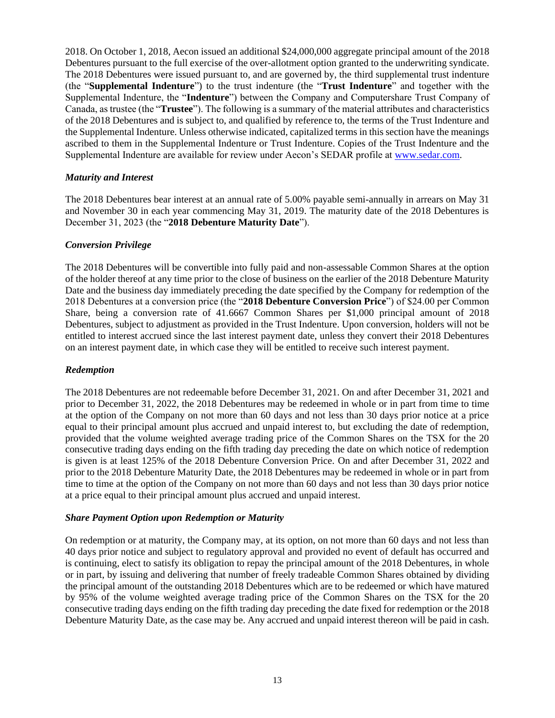2018. On October 1, 2018, Aecon issued an additional \$24,000,000 aggregate principal amount of the 2018 Debentures pursuant to the full exercise of the over-allotment option granted to the underwriting syndicate. The 2018 Debentures were issued pursuant to, and are governed by, the third supplemental trust indenture (the "**Supplemental Indenture**") to the trust indenture (the "**Trust Indenture**" and together with the Supplemental Indenture, the "**Indenture**") between the Company and Computershare Trust Company of Canada, as trustee (the "**Trustee**"). The following is a summary of the material attributes and characteristics of the 2018 Debentures and is subject to, and qualified by reference to, the terms of the Trust Indenture and the Supplemental Indenture. Unless otherwise indicated, capitalized terms in this section have the meanings ascribed to them in the Supplemental Indenture or Trust Indenture. Copies of the Trust Indenture and the Supplemental Indenture are available for review under Aecon's SEDAR profile at [www.sedar.com.](http://www.sedar.com/)

# *Maturity and Interest*

The 2018 Debentures bear interest at an annual rate of 5.00% payable semi-annually in arrears on May 31 and November 30 in each year commencing May 31, 2019. The maturity date of the 2018 Debentures is December 31, 2023 (the "**2018 Debenture Maturity Date**").

# *Conversion Privilege*

The 2018 Debentures will be convertible into fully paid and non-assessable Common Shares at the option of the holder thereof at any time prior to the close of business on the earlier of the 2018 Debenture Maturity Date and the business day immediately preceding the date specified by the Company for redemption of the 2018 Debentures at a conversion price (the "**2018 Debenture Conversion Price**") of \$24.00 per Common Share, being a conversion rate of 41.6667 Common Shares per \$1,000 principal amount of 2018 Debentures, subject to adjustment as provided in the Trust Indenture. Upon conversion, holders will not be entitled to interest accrued since the last interest payment date, unless they convert their 2018 Debentures on an interest payment date, in which case they will be entitled to receive such interest payment.

# *Redemption*

The 2018 Debentures are not redeemable before December 31, 2021. On and after December 31, 2021 and prior to December 31, 2022, the 2018 Debentures may be redeemed in whole or in part from time to time at the option of the Company on not more than 60 days and not less than 30 days prior notice at a price equal to their principal amount plus accrued and unpaid interest to, but excluding the date of redemption, provided that the volume weighted average trading price of the Common Shares on the TSX for the 20 consecutive trading days ending on the fifth trading day preceding the date on which notice of redemption is given is at least 125% of the 2018 Debenture Conversion Price. On and after December 31, 2022 and prior to the 2018 Debenture Maturity Date, the 2018 Debentures may be redeemed in whole or in part from time to time at the option of the Company on not more than 60 days and not less than 30 days prior notice at a price equal to their principal amount plus accrued and unpaid interest.

# *Share Payment Option upon Redemption or Maturity*

On redemption or at maturity, the Company may, at its option, on not more than 60 days and not less than 40 days prior notice and subject to regulatory approval and provided no event of default has occurred and is continuing, elect to satisfy its obligation to repay the principal amount of the 2018 Debentures, in whole or in part, by issuing and delivering that number of freely tradeable Common Shares obtained by dividing the principal amount of the outstanding 2018 Debentures which are to be redeemed or which have matured by 95% of the volume weighted average trading price of the Common Shares on the TSX for the 20 consecutive trading days ending on the fifth trading day preceding the date fixed for redemption or the 2018 Debenture Maturity Date, as the case may be. Any accrued and unpaid interest thereon will be paid in cash.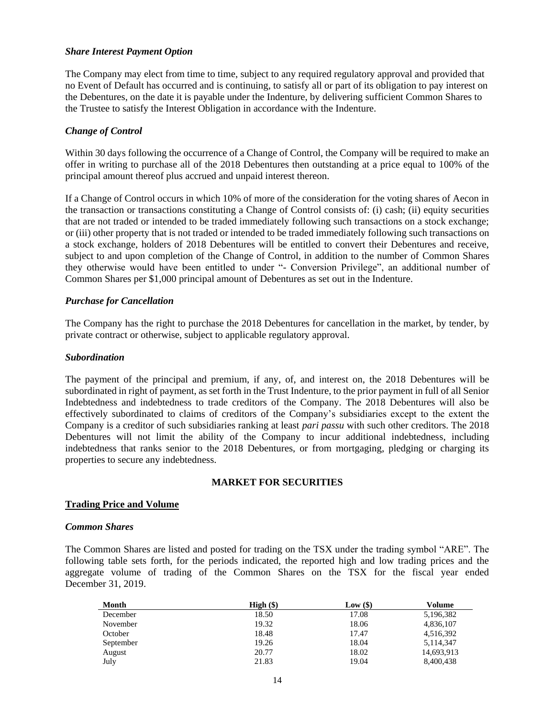## *Share Interest Payment Option*

The Company may elect from time to time, subject to any required regulatory approval and provided that no Event of Default has occurred and is continuing, to satisfy all or part of its obligation to pay interest on the Debentures, on the date it is payable under the Indenture, by delivering sufficient Common Shares to the Trustee to satisfy the Interest Obligation in accordance with the Indenture.

# *Change of Control*

Within 30 days following the occurrence of a Change of Control, the Company will be required to make an offer in writing to purchase all of the 2018 Debentures then outstanding at a price equal to 100% of the principal amount thereof plus accrued and unpaid interest thereon.

If a Change of Control occurs in which 10% of more of the consideration for the voting shares of Aecon in the transaction or transactions constituting a Change of Control consists of: (i) cash; (ii) equity securities that are not traded or intended to be traded immediately following such transactions on a stock exchange; or (iii) other property that is not traded or intended to be traded immediately following such transactions on a stock exchange, holders of 2018 Debentures will be entitled to convert their Debentures and receive, subject to and upon completion of the Change of Control, in addition to the number of Common Shares they otherwise would have been entitled to under "- Conversion Privilege", an additional number of Common Shares per \$1,000 principal amount of Debentures as set out in the Indenture.

## *Purchase for Cancellation*

The Company has the right to purchase the 2018 Debentures for cancellation in the market, by tender, by private contract or otherwise, subject to applicable regulatory approval.

## *Subordination*

The payment of the principal and premium, if any, of, and interest on, the 2018 Debentures will be subordinated in right of payment, as set forth in the Trust Indenture, to the prior payment in full of all Senior Indebtedness and indebtedness to trade creditors of the Company. The 2018 Debentures will also be effectively subordinated to claims of creditors of the Company's subsidiaries except to the extent the Company is a creditor of such subsidiaries ranking at least *pari passu* with such other creditors. The 2018 Debentures will not limit the ability of the Company to incur additional indebtedness, including indebtedness that ranks senior to the 2018 Debentures, or from mortgaging, pledging or charging its properties to secure any indebtedness.

## **MARKET FOR SECURITIES**

## <span id="page-15-1"></span><span id="page-15-0"></span>**Trading Price and Volume**

## *Common Shares*

The Common Shares are listed and posted for trading on the TSX under the trading symbol "ARE". The following table sets forth, for the periods indicated, the reported high and low trading prices and the aggregate volume of trading of the Common Shares on the TSX for the fiscal year ended December 31, 2019.

| <b>Month</b> | $High (\$)$ | Low $(\$)$ | Volume     |
|--------------|-------------|------------|------------|
| December     | 18.50       | 17.08      | 5,196,382  |
| November     | 19.32       | 18.06      | 4,836,107  |
| October      | 18.48       | 17.47      | 4,516,392  |
| September    | 19.26       | 18.04      | 5,114,347  |
| August       | 20.77       | 18.02      | 14,693,913 |
| July         | 21.83       | 19.04      | 8,400,438  |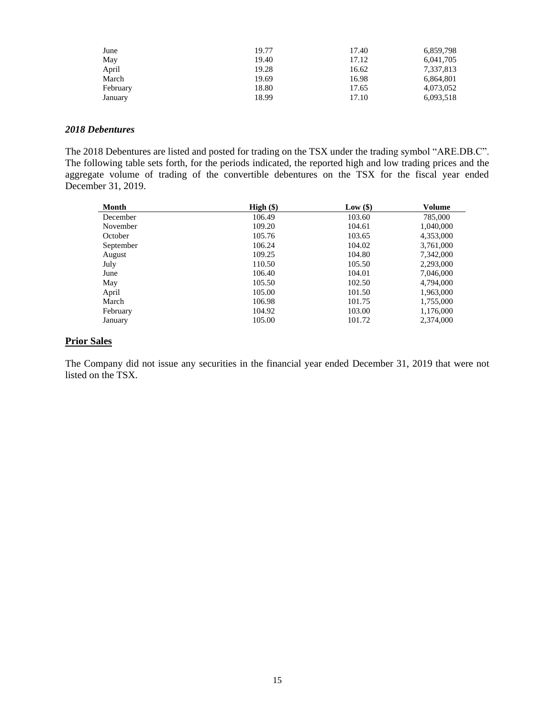| June     | 19.77 | 17.40 | 6,859,798 |
|----------|-------|-------|-----------|
| May      | 19.40 | 17.12 | 6,041,705 |
| April    | 19.28 | 16.62 | 7,337,813 |
| March    | 19.69 | 16.98 | 6,864,801 |
| February | 18.80 | 17.65 | 4,073,052 |
| January  | 18.99 | 17.10 | 6,093,518 |

## *2018 Debentures*

The 2018 Debentures are listed and posted for trading on the TSX under the trading symbol "ARE.DB.C". The following table sets forth, for the periods indicated, the reported high and low trading prices and the aggregate volume of trading of the convertible debentures on the TSX for the fiscal year ended December 31, 2019.

| Month     | $High (\$)$ | Low(\$) | Volume    |
|-----------|-------------|---------|-----------|
| December  | 106.49      | 103.60  | 785,000   |
| November  | 109.20      | 104.61  | 1,040,000 |
| October   | 105.76      | 103.65  | 4,353,000 |
| September | 106.24      | 104.02  | 3,761,000 |
| August    | 109.25      | 104.80  | 7,342,000 |
| July      | 110.50      | 105.50  | 2,293,000 |
| June      | 106.40      | 104.01  | 7,046,000 |
| May       | 105.50      | 102.50  | 4,794,000 |
| April     | 105.00      | 101.50  | 1,963,000 |
| March     | 106.98      | 101.75  | 1,755,000 |
| February  | 104.92      | 103.00  | 1,176,000 |
| January   | 105.00      | 101.72  | 2.374,000 |

## <span id="page-16-0"></span>**Prior Sales**

The Company did not issue any securities in the financial year ended December 31, 2019 that were not listed on the TSX.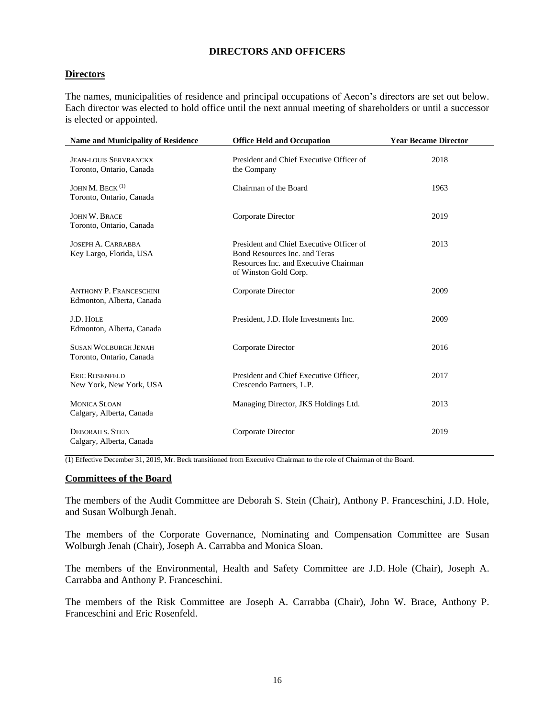# **DIRECTORS AND OFFICERS**

## <span id="page-17-1"></span><span id="page-17-0"></span>**Directors**

The names, municipalities of residence and principal occupations of Aecon's directors are set out below. Each director was elected to hold office until the next annual meeting of shareholders or until a successor is elected or appointed.

| <b>Name and Municipality of Residence</b>                   | <b>Office Held and Occupation</b>                                                                                                           | <b>Year Became Director</b> |
|-------------------------------------------------------------|---------------------------------------------------------------------------------------------------------------------------------------------|-----------------------------|
| <b>JEAN-LOUIS SERVRANCKX</b><br>Toronto, Ontario, Canada    | President and Chief Executive Officer of<br>the Company                                                                                     | 2018                        |
| JOHN M. BECK $(1)$<br>Toronto, Ontario, Canada              | Chairman of the Board                                                                                                                       | 1963                        |
| <b>JOHN W. BRACE</b><br>Toronto, Ontario, Canada            | Corporate Director                                                                                                                          | 2019                        |
| JOSEPH A. CARRABBA<br>Key Largo, Florida, USA               | President and Chief Executive Officer of<br>Bond Resources Inc. and Teras<br>Resources Inc. and Executive Chairman<br>of Winston Gold Corp. | 2013                        |
| <b>ANTHONY P. FRANCESCHINI</b><br>Edmonton, Alberta, Canada | Corporate Director                                                                                                                          | 2009                        |
| J.D. HOLE<br>Edmonton, Alberta, Canada                      | President, J.D. Hole Investments Inc.                                                                                                       | 2009                        |
| <b>SUSAN WOLBURGH JENAH</b><br>Toronto, Ontario, Canada     | Corporate Director                                                                                                                          | 2016                        |
| <b>ERIC ROSENFELD</b><br>New York, New York, USA            | President and Chief Executive Officer,<br>Crescendo Partners, L.P.                                                                          | 2017                        |
| <b>MONICA SLOAN</b><br>Calgary, Alberta, Canada             | Managing Director, JKS Holdings Ltd.                                                                                                        | 2013                        |
| <b>DEBORAH S. STEIN</b><br>Calgary, Alberta, Canada         | Corporate Director                                                                                                                          | 2019                        |

(1) Effective December 31, 2019, Mr. Beck transitioned from Executive Chairman to the role of Chairman of the Board.

#### <span id="page-17-2"></span>**Committees of the Board**

The members of the Audit Committee are Deborah S. Stein (Chair), Anthony P. Franceschini, J.D. Hole, and Susan Wolburgh Jenah.

The members of the Corporate Governance, Nominating and Compensation Committee are Susan Wolburgh Jenah (Chair), Joseph A. Carrabba and Monica Sloan.

The members of the Environmental, Health and Safety Committee are J.D. Hole (Chair), Joseph A. Carrabba and Anthony P. Franceschini.

The members of the Risk Committee are Joseph A. Carrabba (Chair), John W. Brace, Anthony P. Franceschini and Eric Rosenfeld.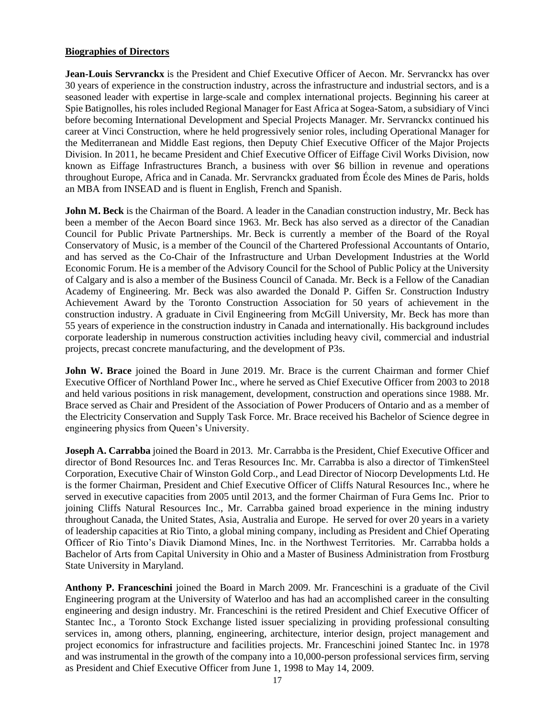## <span id="page-18-0"></span>**Biographies of Directors**

**Jean-Louis Servranckx** is the President and Chief Executive Officer of Aecon. Mr. Servranckx has over 30 years of experience in the construction industry, across the infrastructure and industrial sectors, and is a seasoned leader with expertise in large-scale and complex international projects. Beginning his career at Spie Batignolles, his roles included Regional Manager for East Africa at Sogea-Satom, a subsidiary of Vinci before becoming International Development and Special Projects Manager. Mr. Servranckx continued his career at Vinci Construction, where he held progressively senior roles, including Operational Manager for the Mediterranean and Middle East regions, then Deputy Chief Executive Officer of the Major Projects Division. In 2011, he became President and Chief Executive Officer of Eiffage Civil Works Division, now known as Eiffage Infrastructures Branch, a business with over \$6 billion in revenue and operations throughout Europe, Africa and in Canada. Mr. Servranckx graduated from École des Mines de Paris, holds an MBA from INSEAD and is fluent in English, French and Spanish.

**John M. Beck** is the Chairman of the Board. A leader in the Canadian construction industry, Mr. Beck has been a member of the Aecon Board since 1963. Mr. Beck has also served as a director of the Canadian Council for Public Private Partnerships. Mr. Beck is currently a member of the Board of the Royal Conservatory of Music, is a member of the Council of the Chartered Professional Accountants of Ontario, and has served as the Co-Chair of the Infrastructure and Urban Development Industries at the World Economic Forum. He is a member of the Advisory Council for the School of Public Policy at the University of Calgary and is also a member of the Business Council of Canada. Mr. Beck is a Fellow of the Canadian Academy of Engineering. Mr. Beck was also awarded the Donald P. Giffen Sr. Construction Industry Achievement Award by the Toronto Construction Association for 50 years of achievement in the construction industry. A graduate in Civil Engineering from McGill University, Mr. Beck has more than 55 years of experience in the construction industry in Canada and internationally. His background includes corporate leadership in numerous construction activities including heavy civil, commercial and industrial projects, precast concrete manufacturing, and the development of P3s.

**John W. Brace** joined the Board in June 2019. Mr. Brace is the current Chairman and former Chief Executive Officer of Northland Power Inc., where he served as Chief Executive Officer from 2003 to 2018 and held various positions in risk management, development, construction and operations since 1988. Mr. Brace served as Chair and President of the Association of Power Producers of Ontario and as a member of the Electricity Conservation and Supply Task Force. Mr. Brace received his Bachelor of Science degree in engineering physics from Queen's University.

**Joseph A. Carrabba** joined the Board in 2013. Mr. Carrabba is the President, Chief Executive Officer and director of Bond Resources Inc. and Teras Resources Inc. Mr. Carrabba is also a director of TimkenSteel Corporation, Executive Chair of Winston Gold Corp., and Lead Director of Niocorp Developments Ltd. He is the former Chairman, President and Chief Executive Officer of Cliffs Natural Resources Inc., where he served in executive capacities from 2005 until 2013, and the former Chairman of Fura Gems Inc. Prior to joining Cliffs Natural Resources Inc., Mr. Carrabba gained broad experience in the mining industry throughout Canada, the United States, Asia, Australia and Europe. He served for over 20 years in a variety of leadership capacities at Rio Tinto, a global mining company, including as President and Chief Operating Officer of Rio Tinto's Diavik Diamond Mines, Inc. in the Northwest Territories. Mr. Carrabba holds a Bachelor of Arts from Capital University in Ohio and a Master of Business Administration from Frostburg State University in Maryland.

**Anthony P. Franceschini** joined the Board in March 2009. Mr. Franceschini is a graduate of the Civil Engineering program at the University of Waterloo and has had an accomplished career in the consulting engineering and design industry. Mr. Franceschini is the retired President and Chief Executive Officer of Stantec Inc., a Toronto Stock Exchange listed issuer specializing in providing professional consulting services in, among others, planning, engineering, architecture, interior design, project management and project economics for infrastructure and facilities projects. Mr. Franceschini joined Stantec Inc. in 1978 and was instrumental in the growth of the company into a 10,000-person professional services firm, serving as President and Chief Executive Officer from June 1, 1998 to May 14, 2009.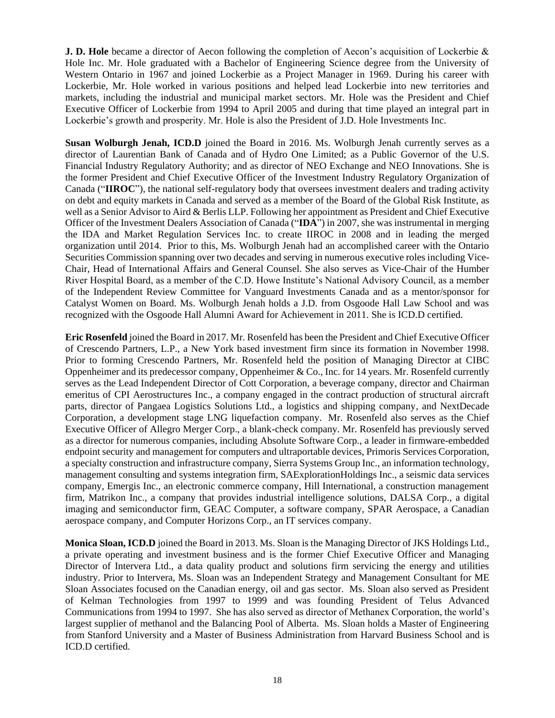**J. D. Hole** became a director of Aecon following the completion of Aecon's acquisition of Lockerbie & Hole Inc. Mr. Hole graduated with a Bachelor of Engineering Science degree from the University of Western Ontario in 1967 and joined Lockerbie as a Project Manager in 1969. During his career with Lockerbie, Mr. Hole worked in various positions and helped lead Lockerbie into new territories and markets, including the industrial and municipal market sectors. Mr. Hole was the President and Chief Executive Officer of Lockerbie from 1994 to April 2005 and during that time played an integral part in Lockerbie's growth and prosperity. Mr. Hole is also the President of J.D. Hole Investments Inc.

**Susan Wolburgh Jenah, ICD.D** joined the Board in 2016. Ms. Wolburgh Jenah currently serves as a director of Laurentian Bank of Canada and of Hydro One Limited; as a Public Governor of the U.S. Financial Industry Regulatory Authority; and as director of NEO Exchange and NEO Innovations. She is the former President and Chief Executive Officer of the Investment Industry Regulatory Organization of Canada ("**IIROC**"), the national self-regulatory body that oversees investment dealers and trading activity on debt and equity markets in Canada and served as a member of the Board of the Global Risk Institute, as well as a Senior Advisor to Aird & Berlis LLP. Following her appointment as President and Chief Executive Officer of the Investment Dealers Association of Canada ("**IDA**") in 2007, she was instrumental in merging the IDA and Market Regulation Services Inc. to create IIROC in 2008 and in leading the merged organization until 2014. Prior to this, Ms. Wolburgh Jenah had an accomplished career with the Ontario Securities Commission spanning over two decades and serving in numerous executive roles including Vice-Chair, Head of International Affairs and General Counsel. She also serves as Vice-Chair of the Humber River Hospital Board, as a member of the C.D. Howe Institute's National Advisory Council, as a member of the Independent Review Committee for Vanguard Investments Canada and as a mentor/sponsor for Catalyst Women on Board. Ms. Wolburgh Jenah holds a J.D. from Osgoode Hall Law School and was recognized with the Osgoode Hall Alumni Award for Achievement in 2011. She is ICD.D certified.

**Eric Rosenfeld** joined the Board in 2017. Mr. Rosenfeld has been the President and Chief Executive Officer of Crescendo Partners, L.P., a New York based investment firm since its formation in November 1998. Prior to forming Crescendo Partners, Mr. Rosenfeld held the position of Managing Director at CIBC Oppenheimer and its predecessor company, Oppenheimer & Co., Inc. for 14 years. Mr. Rosenfeld currently serves as the Lead Independent Director of Cott Corporation, a beverage company, director and Chairman emeritus of CPI Aerostructures Inc., a company engaged in the contract production of structural aircraft parts, director of Pangaea Logistics Solutions Ltd., a logistics and shipping company, and NextDecade Corporation, a development stage LNG liquefaction company. Mr. Rosenfeld also serves as the Chief Executive Officer of Allegro Merger Corp., a blank-check company. Mr. Rosenfeld has previously served as a director for numerous companies, including Absolute Software Corp., a leader in firmware-embedded endpoint security and management for computers and ultraportable devices, Primoris Services Corporation, a specialty construction and infrastructure company, Sierra Systems Group Inc., an information technology, management consulting and systems integration firm, SAExplorationHoldings Inc., a seismic data services company, Emergis Inc., an electronic commerce company, Hill International, a construction management firm, Matrikon Inc., a company that provides industrial intelligence solutions, DALSA Corp., a digital imaging and semiconductor firm, GEAC Computer, a software company, SPAR Aerospace, a Canadian aerospace company, and Computer Horizons Corp., an IT services company.

**Monica Sloan, ICD.D** joined the Board in 2013. Ms. Sloan is the Managing Director of JKS Holdings Ltd., a private operating and investment business and is the former Chief Executive Officer and Managing Director of Intervera Ltd., a data quality product and solutions firm servicing the energy and utilities industry. Prior to Intervera, Ms. Sloan was an Independent Strategy and Management Consultant for ME Sloan Associates focused on the Canadian energy, oil and gas sector. Ms. Sloan also served as President of Kelman Technologies from 1997 to 1999 and was founding President of Telus Advanced Communications from 1994 to 1997. She has also served as director of Methanex Corporation, the world's largest supplier of methanol and the Balancing Pool of Alberta. Ms. Sloan holds a Master of Engineering from Stanford University and a Master of Business Administration from Harvard Business School and is ICD.D certified.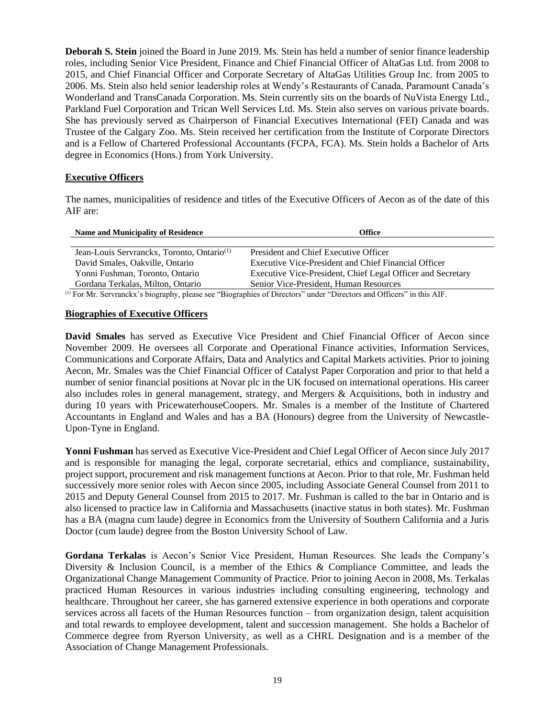**Deborah S. Stein** joined the Board in June 2019. Ms. Stein has held a number of senior finance leadership roles, including Senior Vice President, Finance and Chief Financial Officer of AltaGas Ltd. from 2008 to 2015, and Chief Financial Officer and Corporate Secretary of AltaGas Utilities Group Inc. from 2005 to 2006. Ms. Stein also held senior leadership roles at Wendy's Restaurants of Canada, Paramount Canada's Wonderland and TransCanada Corporation. Ms. Stein currently sits on the boards of NuVista Energy Ltd., Parkland Fuel Corporation and Trican Well Services Ltd. Ms. Stein also serves on various private boards. She has previously served as Chairperson of Financial Executives International (FEI) Canada and was Trustee of the Calgary Zoo. Ms. Stein received her certification from the Institute of Corporate Directors and is a Fellow of Chartered Professional Accountants (FCPA, FCA). Ms. Stein holds a Bachelor of Arts degree in Economics (Hons.) from York University.

## <span id="page-20-0"></span>**Executive Officers**

The names, municipalities of residence and titles of the Executive Officers of Aecon as of the date of this AIF are:

| <b>Name and Municipality of Residence</b>              | Office                                                      |
|--------------------------------------------------------|-------------------------------------------------------------|
|                                                        |                                                             |
| Jean-Louis Servranckx, Toronto, Ontario <sup>(1)</sup> | President and Chief Executive Officer                       |
| David Smales, Oakville, Ontario                        | Executive Vice-President and Chief Financial Officer        |
| Yonni Fushman, Toronto, Ontario                        | Executive Vice-President, Chief Legal Officer and Secretary |
| Gordana Terkalas, Milton, Ontario                      | Senior Vice-President, Human Resources                      |

(1) For Mr. Servranckx's biography, please see "Biographies of Directors" under "Directors and Officers" in this AIF.

# <span id="page-20-1"></span>**Biographies of Executive Officers**

**David Smales** has served as Executive Vice President and Chief Financial Officer of Aecon since November 2009. He oversees all Corporate and Operational Finance activities, Information Services, Communications and Corporate Affairs, Data and Analytics and Capital Markets activities. Prior to joining Aecon, Mr. Smales was the Chief Financial Officer of Catalyst Paper Corporation and prior to that held a number of senior financial positions at Novar plc in the UK focused on international operations. His career also includes roles in general management, strategy, and Mergers & Acquisitions, both in industry and during 10 years with PricewaterhouseCoopers. Mr. Smales is a member of the Institute of Chartered Accountants in England and Wales and has a BA (Honours) degree from the University of Newcastle-Upon-Tyne in England.

**Yonni Fushman** has served as Executive Vice-President and Chief Legal Officer of Aecon since July 2017 and is responsible for managing the legal, corporate secretarial, ethics and compliance, sustainability, project support, procurement and risk management functions at Aecon. Prior to that role, Mr. Fushman held successively more senior roles with Aecon since 2005, including Associate General Counsel from 2011 to 2015 and Deputy General Counsel from 2015 to 2017. Mr. Fushman is called to the bar in Ontario and is also licensed to practice law in California and Massachusetts (inactive status in both states). Mr. Fushman has a BA (magna cum laude) degree in Economics from the University of Southern California and a Juris Doctor (cum laude) degree from the Boston University School of Law.

**Gordana Terkalas** is Aecon's Senior Vice President, Human Resources. She leads the Company's Diversity & Inclusion Council, is a member of the Ethics & Compliance Committee, and leads the Organizational Change Management Community of Practice. Prior to joining Aecon in 2008, Ms. Terkalas practiced Human Resources in various industries including consulting engineering, technology and healthcare. Throughout her career, she has garnered extensive experience in both operations and corporate services across all facets of the Human Resources function – from organization design, talent acquisition and total rewards to employee development, talent and succession management. She holds a Bachelor of Commerce degree from Ryerson University, as well as a CHRL Designation and is a member of the Association of Change Management Professionals.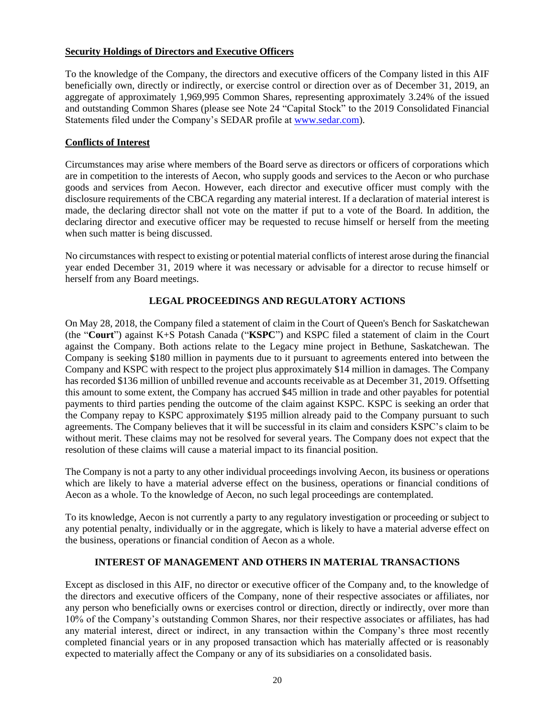# <span id="page-21-0"></span>**Security Holdings of Directors and Executive Officers**

To the knowledge of the Company, the directors and executive officers of the Company listed in this AIF beneficially own, directly or indirectly, or exercise control or direction over as of December 31, 2019, an aggregate of approximately 1,969,995 Common Shares, representing approximately 3.24% of the issued and outstanding Common Shares (please see Note 24 "Capital Stock" to the 2019 Consolidated Financial Statements filed under the Company's SEDAR profile at [www.sedar.com\)](http://www.sedar.com/).

# <span id="page-21-1"></span>**Conflicts of Interest**

Circumstances may arise where members of the Board serve as directors or officers of corporations which are in competition to the interests of Aecon, who supply goods and services to the Aecon or who purchase goods and services from Aecon. However, each director and executive officer must comply with the disclosure requirements of the CBCA regarding any material interest. If a declaration of material interest is made, the declaring director shall not vote on the matter if put to a vote of the Board. In addition, the declaring director and executive officer may be requested to recuse himself or herself from the meeting when such matter is being discussed.

No circumstances with respect to existing or potential material conflicts of interest arose during the financial year ended December 31, 2019 where it was necessary or advisable for a director to recuse himself or herself from any Board meetings.

# **LEGAL PROCEEDINGS AND REGULATORY ACTIONS**

<span id="page-21-2"></span>On May 28, 2018, the Company filed a statement of claim in the Court of Queen's Bench for Saskatchewan (the "**Court**") against K+S Potash Canada ("**KSPC**") and KSPC filed a statement of claim in the Court against the Company. Both actions relate to the Legacy mine project in Bethune, Saskatchewan. The Company is seeking \$180 million in payments due to it pursuant to agreements entered into between the Company and KSPC with respect to the project plus approximately \$14 million in damages. The Company has recorded \$136 million of unbilled revenue and accounts receivable as at December 31, 2019. Offsetting this amount to some extent, the Company has accrued \$45 million in trade and other payables for potential payments to third parties pending the outcome of the claim against KSPC. KSPC is seeking an order that the Company repay to KSPC approximately \$195 million already paid to the Company pursuant to such agreements. The Company believes that it will be successful in its claim and considers KSPC's claim to be without merit. These claims may not be resolved for several years. The Company does not expect that the resolution of these claims will cause a material impact to its financial position.

The Company is not a party to any other individual proceedings involving Aecon, its business or operations which are likely to have a material adverse effect on the business, operations or financial conditions of Aecon as a whole. To the knowledge of Aecon, no such legal proceedings are contemplated.

To its knowledge, Aecon is not currently a party to any regulatory investigation or proceeding or subject to any potential penalty, individually or in the aggregate, which is likely to have a material adverse effect on the business, operations or financial condition of Aecon as a whole.

# **INTEREST OF MANAGEMENT AND OTHERS IN MATERIAL TRANSACTIONS**

<span id="page-21-3"></span>Except as disclosed in this AIF, no director or executive officer of the Company and, to the knowledge of the directors and executive officers of the Company, none of their respective associates or affiliates, nor any person who beneficially owns or exercises control or direction, directly or indirectly, over more than 10% of the Company's outstanding Common Shares, nor their respective associates or affiliates, has had any material interest, direct or indirect, in any transaction within the Company's three most recently completed financial years or in any proposed transaction which has materially affected or is reasonably expected to materially affect the Company or any of its subsidiaries on a consolidated basis.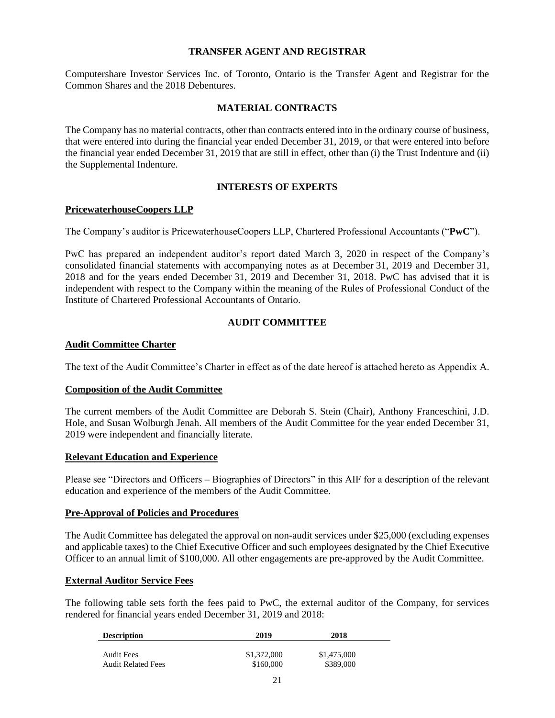## **TRANSFER AGENT AND REGISTRAR**

<span id="page-22-0"></span>Computershare Investor Services Inc. of Toronto, Ontario is the Transfer Agent and Registrar for the Common Shares and the 2018 Debentures.

# **MATERIAL CONTRACTS**

<span id="page-22-1"></span>The Company has no material contracts, other than contracts entered into in the ordinary course of business, that were entered into during the financial year ended December 31, 2019, or that were entered into before the financial year ended December 31, 2019 that are still in effect, other than (i) the Trust Indenture and (ii) the Supplemental Indenture.

# **INTERESTS OF EXPERTS**

## <span id="page-22-3"></span><span id="page-22-2"></span>**PricewaterhouseCoopers LLP**

The Company's auditor is PricewaterhouseCoopers LLP, Chartered Professional Accountants ("**PwC**").

PwC has prepared an independent auditor's report dated March 3, 2020 in respect of the Company's consolidated financial statements with accompanying notes as at December 31, 2019 and December 31, 2018 and for the years ended December 31, 2019 and December 31, 2018. PwC has advised that it is independent with respect to the Company within the meaning of the Rules of Professional Conduct of the Institute of Chartered Professional Accountants of Ontario.

# **AUDIT COMMITTEE**

## <span id="page-22-5"></span><span id="page-22-4"></span>**Audit Committee Charter**

The text of the Audit Committee's Charter in effect as of the date hereof is attached hereto as Appendix A.

## <span id="page-22-6"></span>**Composition of the Audit Committee**

The current members of the Audit Committee are Deborah S. Stein (Chair), Anthony Franceschini, J.D. Hole, and Susan Wolburgh Jenah. All members of the Audit Committee for the year ended December 31, 2019 were independent and financially literate.

## <span id="page-22-7"></span>**Relevant Education and Experience**

Please see "Directors and Officers – Biographies of Directors" in this AIF for a description of the relevant education and experience of the members of the Audit Committee.

## <span id="page-22-8"></span>**Pre-Approval of Policies and Procedures**

The Audit Committee has delegated the approval on non-audit services under \$25,000 (excluding expenses and applicable taxes) to the Chief Executive Officer and such employees designated by the Chief Executive Officer to an annual limit of \$100,000. All other engagements are pre**-**approved by the Audit Committee.

# <span id="page-22-9"></span>**External Auditor Service Fees**

The following table sets forth the fees paid to PwC, the external auditor of the Company, for services rendered for financial years ended December 31, 2019 and 2018:

| <b>Description</b>        | 2019        | 2018        |  |
|---------------------------|-------------|-------------|--|
| <b>Audit Fees</b>         | \$1,372,000 | \$1,475,000 |  |
| <b>Audit Related Fees</b> | \$160,000   | \$389,000   |  |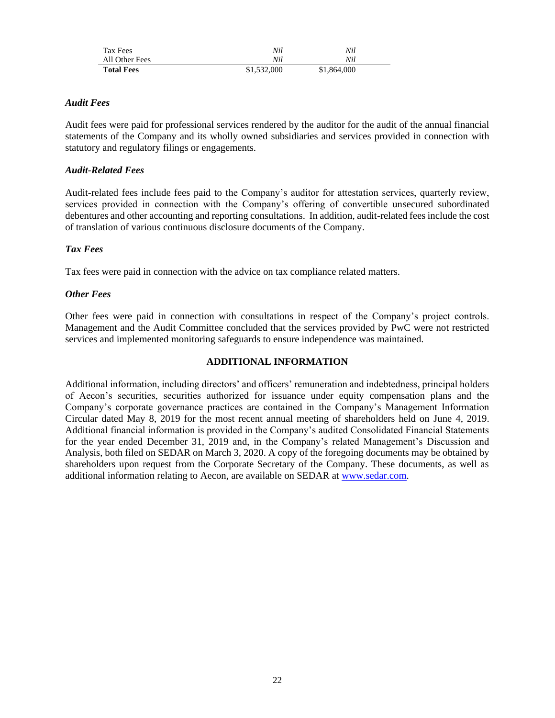| Tax Fees          | Nil         | Nil         |  |
|-------------------|-------------|-------------|--|
| All Other Fees    | Nil         | Nil         |  |
| <b>Total Fees</b> | \$1,532,000 | \$1,864,000 |  |

# *Audit Fees*

Audit fees were paid for professional services rendered by the auditor for the audit of the annual financial statements of the Company and its wholly owned subsidiaries and services provided in connection with statutory and regulatory filings or engagements.

# *Audit-Related Fees*

Audit-related fees include fees paid to the Company's auditor for attestation services, quarterly review, services provided in connection with the Company's offering of convertible unsecured subordinated debentures and other accounting and reporting consultations. In addition, audit-related fees include the cost of translation of various continuous disclosure documents of the Company.

# *Tax Fees*

Tax fees were paid in connection with the advice on tax compliance related matters.

# *Other Fees*

Other fees were paid in connection with consultations in respect of the Company's project controls. Management and the Audit Committee concluded that the services provided by PwC were not restricted services and implemented monitoring safeguards to ensure independence was maintained.

# **ADDITIONAL INFORMATION**

<span id="page-23-0"></span>Additional information, including directors' and officers' remuneration and indebtedness, principal holders of Aecon's securities, securities authorized for issuance under equity compensation plans and the Company's corporate governance practices are contained in the Company's Management Information Circular dated May 8, 2019 for the most recent annual meeting of shareholders held on June 4, 2019. Additional financial information is provided in the Company's audited Consolidated Financial Statements for the year ended December 31, 2019 and, in the Company's related Management's Discussion and Analysis, both filed on SEDAR on March 3, 2020. A copy of the foregoing documents may be obtained by shareholders upon request from the Corporate Secretary of the Company. These documents, as well as additional information relating to Aecon, are available on SEDAR at [www.sedar.com.](http://www.sedar.com/)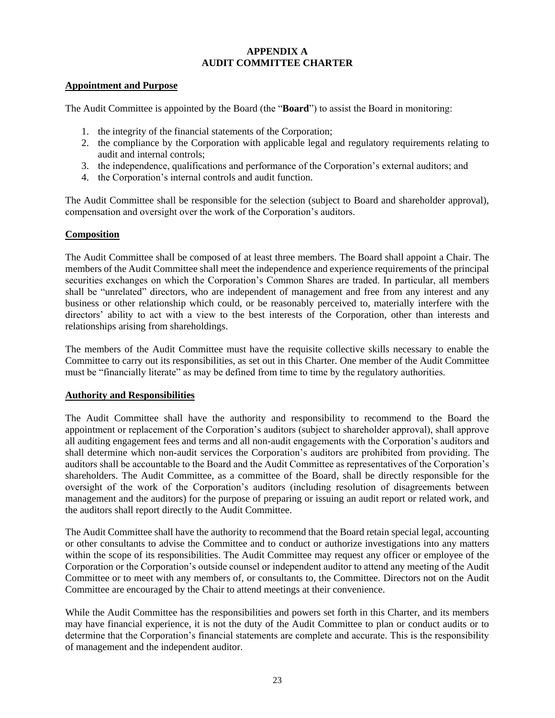# **APPENDIX A AUDIT COMMITTEE CHARTER**

## <span id="page-24-0"></span>**Appointment and Purpose**

The Audit Committee is appointed by the Board (the "**Board**") to assist the Board in monitoring:

- 1. the integrity of the financial statements of the Corporation;
- 2. the compliance by the Corporation with applicable legal and regulatory requirements relating to audit and internal controls;
- 3. the independence, qualifications and performance of the Corporation's external auditors; and
- 4. the Corporation's internal controls and audit function.

The Audit Committee shall be responsible for the selection (subject to Board and shareholder approval), compensation and oversight over the work of the Corporation's auditors.

# **Composition**

The Audit Committee shall be composed of at least three members. The Board shall appoint a Chair. The members of the Audit Committee shall meet the independence and experience requirements of the principal securities exchanges on which the Corporation's Common Shares are traded. In particular, all members shall be "unrelated" directors, who are independent of management and free from any interest and any business or other relationship which could, or be reasonably perceived to, materially interfere with the directors' ability to act with a view to the best interests of the Corporation, other than interests and relationships arising from shareholdings.

The members of the Audit Committee must have the requisite collective skills necessary to enable the Committee to carry out its responsibilities, as set out in this Charter. One member of the Audit Committee must be "financially literate" as may be defined from time to time by the regulatory authorities.

# **Authority and Responsibilities**

The Audit Committee shall have the authority and responsibility to recommend to the Board the appointment or replacement of the Corporation's auditors (subject to shareholder approval), shall approve all auditing engagement fees and terms and all non-audit engagements with the Corporation's auditors and shall determine which non-audit services the Corporation's auditors are prohibited from providing. The auditors shall be accountable to the Board and the Audit Committee as representatives of the Corporation's shareholders. The Audit Committee, as a committee of the Board, shall be directly responsible for the oversight of the work of the Corporation's auditors (including resolution of disagreements between management and the auditors) for the purpose of preparing or issuing an audit report or related work, and the auditors shall report directly to the Audit Committee.

The Audit Committee shall have the authority to recommend that the Board retain special legal, accounting or other consultants to advise the Committee and to conduct or authorize investigations into any matters within the scope of its responsibilities. The Audit Committee may request any officer or employee of the Corporation or the Corporation's outside counsel or independent auditor to attend any meeting of the Audit Committee or to meet with any members of, or consultants to, the Committee. Directors not on the Audit Committee are encouraged by the Chair to attend meetings at their convenience.

While the Audit Committee has the responsibilities and powers set forth in this Charter, and its members may have financial experience, it is not the duty of the Audit Committee to plan or conduct audits or to determine that the Corporation's financial statements are complete and accurate. This is the responsibility of management and the independent auditor.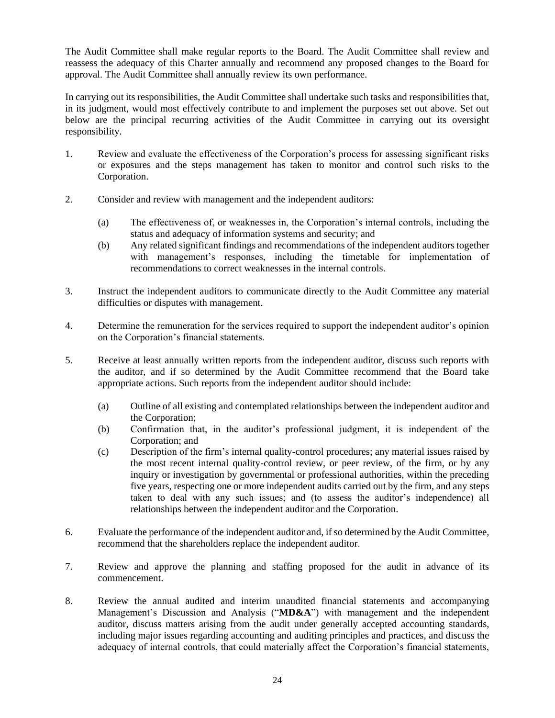The Audit Committee shall make regular reports to the Board. The Audit Committee shall review and reassess the adequacy of this Charter annually and recommend any proposed changes to the Board for approval. The Audit Committee shall annually review its own performance.

In carrying out its responsibilities, the Audit Committee shall undertake such tasks and responsibilities that, in its judgment, would most effectively contribute to and implement the purposes set out above. Set out below are the principal recurring activities of the Audit Committee in carrying out its oversight responsibility.

- 1. Review and evaluate the effectiveness of the Corporation's process for assessing significant risks or exposures and the steps management has taken to monitor and control such risks to the Corporation.
- 2. Consider and review with management and the independent auditors:
	- (a) The effectiveness of, or weaknesses in, the Corporation's internal controls, including the status and adequacy of information systems and security; and
	- (b) Any related significant findings and recommendations of the independent auditors together with management's responses, including the timetable for implementation of recommendations to correct weaknesses in the internal controls.
- 3. Instruct the independent auditors to communicate directly to the Audit Committee any material difficulties or disputes with management.
- 4. Determine the remuneration for the services required to support the independent auditor's opinion on the Corporation's financial statements.
- 5. Receive at least annually written reports from the independent auditor, discuss such reports with the auditor, and if so determined by the Audit Committee recommend that the Board take appropriate actions. Such reports from the independent auditor should include:
	- (a) Outline of all existing and contemplated relationships between the independent auditor and the Corporation;
	- (b) Confirmation that, in the auditor's professional judgment, it is independent of the Corporation; and
	- (c) Description of the firm's internal quality-control procedures; any material issues raised by the most recent internal quality-control review, or peer review, of the firm, or by any inquiry or investigation by governmental or professional authorities, within the preceding five years, respecting one or more independent audits carried out by the firm, and any steps taken to deal with any such issues; and (to assess the auditor's independence) all relationships between the independent auditor and the Corporation.
- 6. Evaluate the performance of the independent auditor and, if so determined by the Audit Committee, recommend that the shareholders replace the independent auditor.
- 7. Review and approve the planning and staffing proposed for the audit in advance of its commencement.
- 8. Review the annual audited and interim unaudited financial statements and accompanying Management's Discussion and Analysis ("**MD&A**") with management and the independent auditor, discuss matters arising from the audit under generally accepted accounting standards, including major issues regarding accounting and auditing principles and practices, and discuss the adequacy of internal controls, that could materially affect the Corporation's financial statements,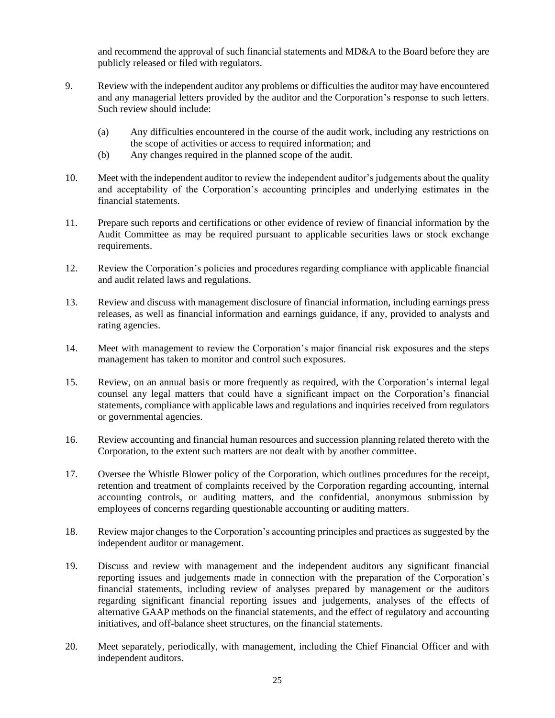and recommend the approval of such financial statements and MD&A to the Board before they are publicly released or filed with regulators.

- 9. Review with the independent auditor any problems or difficulties the auditor may have encountered and any managerial letters provided by the auditor and the Corporation's response to such letters. Such review should include:
	- (a) Any difficulties encountered in the course of the audit work, including any restrictions on the scope of activities or access to required information; and
	- (b) Any changes required in the planned scope of the audit.
- 10. Meet with the independent auditor to review the independent auditor's judgements about the quality and acceptability of the Corporation's accounting principles and underlying estimates in the financial statements.
- 11. Prepare such reports and certifications or other evidence of review of financial information by the Audit Committee as may be required pursuant to applicable securities laws or stock exchange requirements.
- 12. Review the Corporation's policies and procedures regarding compliance with applicable financial and audit related laws and regulations.
- 13. Review and discuss with management disclosure of financial information, including earnings press releases, as well as financial information and earnings guidance, if any, provided to analysts and rating agencies.
- 14. Meet with management to review the Corporation's major financial risk exposures and the steps management has taken to monitor and control such exposures.
- 15. Review, on an annual basis or more frequently as required, with the Corporation's internal legal counsel any legal matters that could have a significant impact on the Corporation's financial statements, compliance with applicable laws and regulations and inquiries received from regulators or governmental agencies.
- 16. Review accounting and financial human resources and succession planning related thereto with the Corporation, to the extent such matters are not dealt with by another committee.
- 17. Oversee the Whistle Blower policy of the Corporation, which outlines procedures for the receipt, retention and treatment of complaints received by the Corporation regarding accounting, internal accounting controls, or auditing matters, and the confidential, anonymous submission by employees of concerns regarding questionable accounting or auditing matters.
- 18. Review major changes to the Corporation's accounting principles and practices as suggested by the independent auditor or management.
- 19. Discuss and review with management and the independent auditors any significant financial reporting issues and judgements made in connection with the preparation of the Corporation's financial statements, including review of analyses prepared by management or the auditors regarding significant financial reporting issues and judgements, analyses of the effects of alternative GAAP methods on the financial statements, and the effect of regulatory and accounting initiatives, and off-balance sheet structures, on the financial statements.
- 20. Meet separately, periodically, with management, including the Chief Financial Officer and with independent auditors.